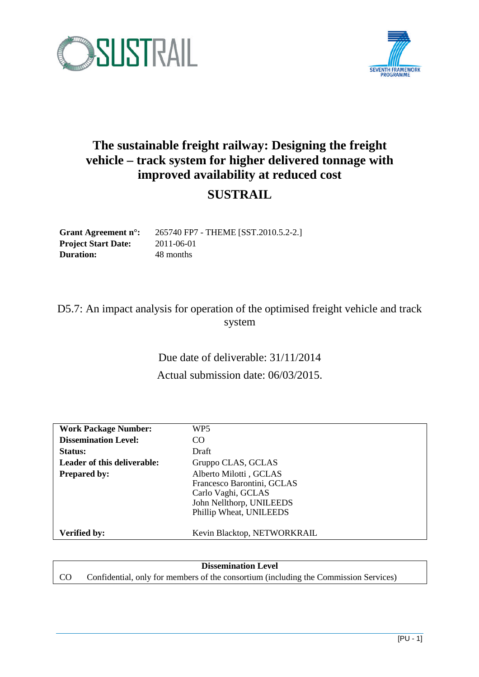



# **The sustainable freight railway: Designing the freight vehicle – track system for higher delivered tonnage with improved availability at reduced cost**

# **SUSTRAIL**

**Grant Agreement n°:** 265740 FP7 - THEME [SST.2010.5.2-2.] **Project Start Date:** 2011-06-01 **Duration:** 48 months

## D5.7: An impact analysis for operation of the optimised freight vehicle and track system

Due date of deliverable: 31/11/2014 Actual submission date: 06/03/2015.

| <b>Work Package Number:</b> | WP5                         |
|-----------------------------|-----------------------------|
| <b>Dissemination Level:</b> | CO.                         |
| Status:                     | Draft                       |
| Leader of this deliverable: | Gruppo CLAS, GCLAS          |
| <b>Prepared by:</b>         | Alberto Milotti, GCLAS      |
|                             | Francesco Barontini, GCLAS  |
|                             | Carlo Vaghi, GCLAS          |
|                             | John Nellthorp, UNILEEDS    |
|                             | Phillip Wheat, UNILEEDS     |
|                             |                             |
| <b>Verified by:</b>         | Kevin Blacktop, NETWORKRAIL |

#### **Dissemination Level**

CO Confidential, only for members of the consortium (including the Commission Services)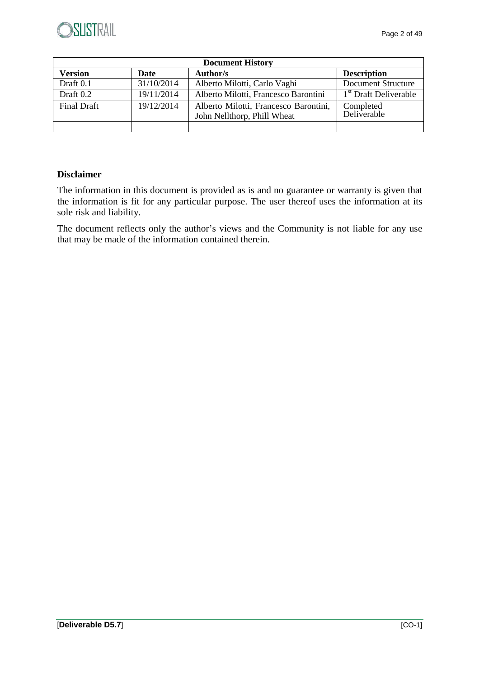

| <b>Document History</b> |             |                                                                      |                                   |
|-------------------------|-------------|----------------------------------------------------------------------|-----------------------------------|
| <b>Version</b>          | <b>Date</b> | <b>Author/s</b>                                                      | <b>Description</b>                |
| Draft 0.1               | 31/10/2014  | Alberto Milotti, Carlo Vaghi                                         | Document Structure                |
| Draft 0.2               | 19/11/2014  | Alberto Milotti, Francesco Barontini                                 | 1 <sup>st</sup> Draft Deliverable |
| <b>Final Draft</b>      | 19/12/2014  | Alberto Milotti, Francesco Barontini,<br>John Nellthorp, Phill Wheat | Completed<br>Deliverable          |
|                         |             |                                                                      |                                   |

## **Disclaimer**

The information in this document is provided as is and no guarantee or warranty is given that the information is fit for any particular purpose. The user thereof uses the information at its sole risk and liability.

The document reflects only the author's views and the Community is not liable for any use that may be made of the information contained therein.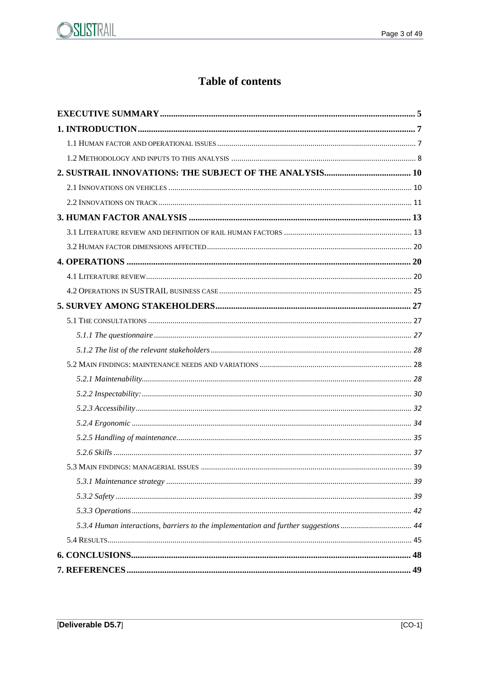

# **Table of contents**

| 5.3.4 Human interactions, barriers to the implementation and further suggestions  44 |
|--------------------------------------------------------------------------------------|
|                                                                                      |
|                                                                                      |
|                                                                                      |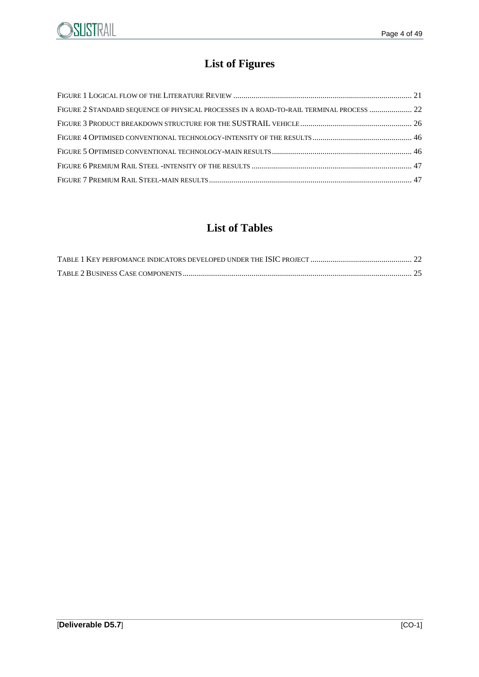

# **List of Figures**

| FIGURE 2 STANDARD SEQUENCE OF PHYSICAL PROCESSES IN A ROAD-TO-RAIL TERMINAL PROCESS  22 |  |
|-----------------------------------------------------------------------------------------|--|
|                                                                                         |  |
|                                                                                         |  |
|                                                                                         |  |
|                                                                                         |  |
|                                                                                         |  |

## **List of Tables**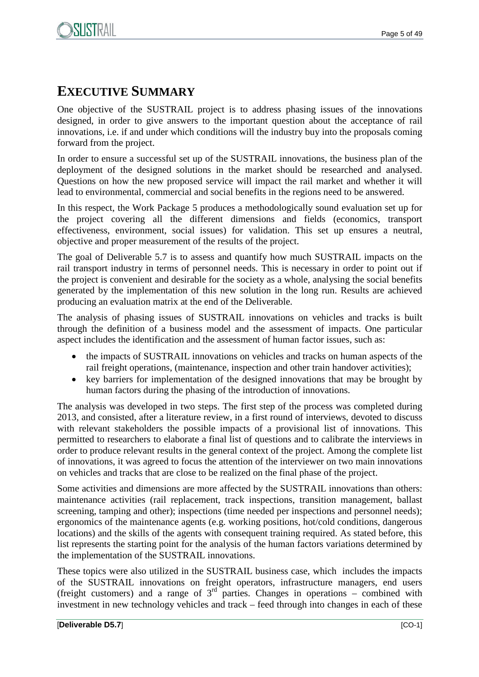# **EXECUTIVE SUMMARY**

One objective of the SUSTRAIL project is to address phasing issues of the innovations designed, in order to give answers to the important question about the acceptance of rail innovations, i.e. if and under which conditions will the industry buy into the proposals coming forward from the project.

In order to ensure a successful set up of the SUSTRAIL innovations, the business plan of the deployment of the designed solutions in the market should be researched and analysed. Questions on how the new proposed service will impact the rail market and whether it will lead to environmental, commercial and social benefits in the regions need to be answered.

In this respect, the Work Package 5 produces a methodologically sound evaluation set up for the project covering all the different dimensions and fields (economics, transport effectiveness, environment, social issues) for validation. This set up ensures a neutral, objective and proper measurement of the results of the project.

The goal of Deliverable 5.7 is to assess and quantify how much SUSTRAIL impacts on the rail transport industry in terms of personnel needs. This is necessary in order to point out if the project is convenient and desirable for the society as a whole, analysing the social benefits generated by the implementation of this new solution in the long run. Results are achieved producing an evaluation matrix at the end of the Deliverable.

The analysis of phasing issues of SUSTRAIL innovations on vehicles and tracks is built through the definition of a business model and the assessment of impacts. One particular aspect includes the identification and the assessment of human factor issues, such as:

- the impacts of SUSTRAIL innovations on vehicles and tracks on human aspects of the rail freight operations, (maintenance, inspection and other train handover activities);
- key barriers for implementation of the designed innovations that may be brought by human factors during the phasing of the introduction of innovations.

The analysis was developed in two steps. The first step of the process was completed during 2013, and consisted, after a literature review, in a first round of interviews, devoted to discuss with relevant stakeholders the possible impacts of a provisional list of innovations. This permitted to researchers to elaborate a final list of questions and to calibrate the interviews in order to produce relevant results in the general context of the project. Among the complete list of innovations, it was agreed to focus the attention of the interviewer on two main innovations on vehicles and tracks that are close to be realized on the final phase of the project.

Some activities and dimensions are more affected by the SUSTRAIL innovations than others: maintenance activities (rail replacement, track inspections, transition management, ballast screening, tamping and other); inspections (time needed per inspections and personnel needs); ergonomics of the maintenance agents (e.g. working positions, hot/cold conditions, dangerous locations) and the skills of the agents with consequent training required. As stated before, this list represents the starting point for the analysis of the human factors variations determined by the implementation of the SUSTRAIL innovations.

These topics were also utilized in the SUSTRAIL business case, which includes the impacts of the SUSTRAIL innovations on freight operators, infrastructure managers, end users (freight customers) and a range of  $3<sup>rd</sup>$  parties. Changes in operations – combined with investment in new technology vehicles and track – feed through into changes in each of these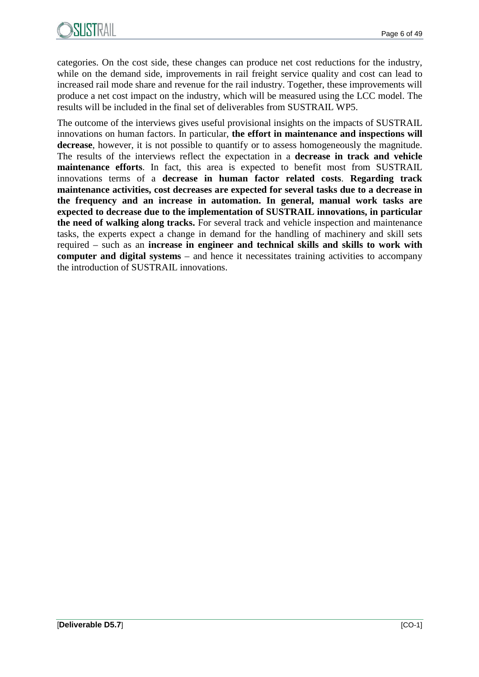categories. On the cost side, these changes can produce net cost reductions for the industry, while on the demand side, improvements in rail freight service quality and cost can lead to increased rail mode share and revenue for the rail industry. Together, these improvements will produce a net cost impact on the industry, which will be measured using the LCC model. The results will be included in the final set of deliverables from SUSTRAIL WP5.

The outcome of the interviews gives useful provisional insights on the impacts of SUSTRAIL innovations on human factors. In particular, **the effort in maintenance and inspections will decrease**, however, it is not possible to quantify or to assess homogeneously the magnitude. The results of the interviews reflect the expectation in a **decrease in track and vehicle maintenance efforts**. In fact, this area is expected to benefit most from SUSTRAIL innovations terms of a **decrease in human factor related costs**. **Regarding track maintenance activities, cost decreases are expected for several tasks due to a decrease in the frequency and an increase in automation. In general, manual work tasks are expected to decrease due to the implementation of SUSTRAIL innovations, in particular the need of walking along tracks.** For several track and vehicle inspection and maintenance tasks, the experts expect a change in demand for the handling of machinery and skill sets required – such as an **increase in engineer and technical skills and skills to work with computer and digital systems** – and hence it necessitates training activities to accompany the introduction of SUSTRAIL innovations.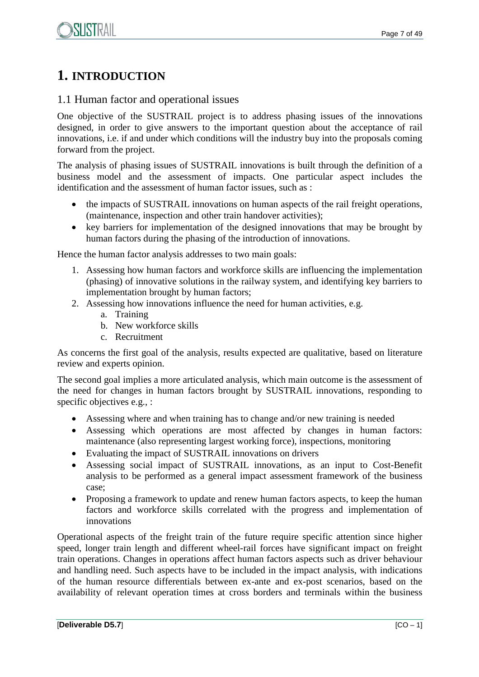## **1. INTRODUCTION**

## 1.1 Human factor and operational issues

One objective of the SUSTRAIL project is to address phasing issues of the innovations designed, in order to give answers to the important question about the acceptance of rail innovations, i.e. if and under which conditions will the industry buy into the proposals coming forward from the project.

The analysis of phasing issues of SUSTRAIL innovations is built through the definition of a business model and the assessment of impacts. One particular aspect includes the identification and the assessment of human factor issues, such as :

- the impacts of SUSTRAIL innovations on human aspects of the rail freight operations, (maintenance, inspection and other train handover activities);
- key barriers for implementation of the designed innovations that may be brought by human factors during the phasing of the introduction of innovations.

Hence the human factor analysis addresses to two main goals:

- 1. Assessing how human factors and workforce skills are influencing the implementation (phasing) of innovative solutions in the railway system, and identifying key barriers to implementation brought by human factors;
- 2. Assessing how innovations influence the need for human activities, e.g.
	- a. Training
	- b. New workforce skills
	- c. Recruitment

As concerns the first goal of the analysis, results expected are qualitative, based on literature review and experts opinion.

The second goal implies a more articulated analysis, which main outcome is the assessment of the need for changes in human factors brought by SUSTRAIL innovations, responding to specific objectives e.g., :

- Assessing where and when training has to change and/or new training is needed
- Assessing which operations are most affected by changes in human factors: maintenance (also representing largest working force), inspections, monitoring
- Evaluating the impact of SUSTRAIL innovations on drivers
- Assessing social impact of SUSTRAIL innovations, as an input to Cost-Benefit analysis to be performed as a general impact assessment framework of the business case;
- Proposing a framework to update and renew human factors aspects, to keep the human factors and workforce skills correlated with the progress and implementation of innovations

Operational aspects of the freight train of the future require specific attention since higher speed, longer train length and different wheel-rail forces have significant impact on freight train operations. Changes in operations affect human factors aspects such as driver behaviour and handling need. Such aspects have to be included in the impact analysis, with indications of the human resource differentials between ex-ante and ex-post scenarios, based on the availability of relevant operation times at cross borders and terminals within the business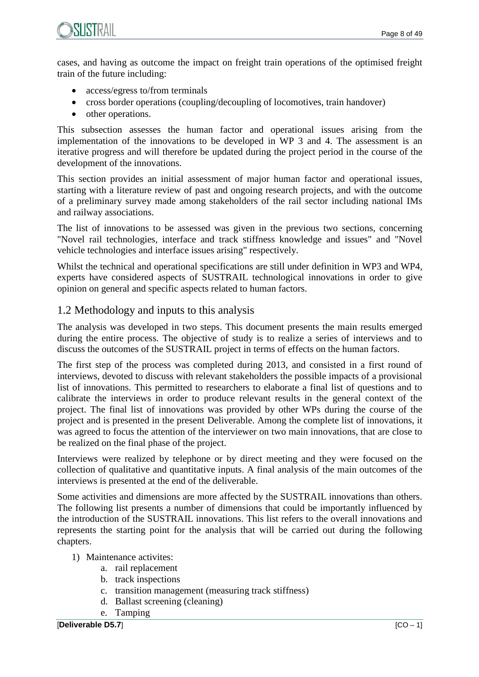

cases, and having as outcome the impact on freight train operations of the optimised freight train of the future including:

- access/egress to/from terminals
- cross border operations (coupling/decoupling of locomotives, train handover)
- other operations.

This subsection assesses the human factor and operational issues arising from the implementation of the innovations to be developed in WP 3 and 4. The assessment is an iterative progress and will therefore be updated during the project period in the course of the development of the innovations.

This section provides an initial assessment of major human factor and operational issues, starting with a literature review of past and ongoing research projects, and with the outcome of a preliminary survey made among stakeholders of the rail sector including national IMs and railway associations.

The list of innovations to be assessed was given in the previous two sections, concerning "Novel rail technologies, interface and track stiffness knowledge and issues" and "Novel vehicle technologies and interface issues arising" respectively.

Whilst the technical and operational specifications are still under definition in WP3 and WP4, experts have considered aspects of SUSTRAIL technological innovations in order to give opinion on general and specific aspects related to human factors.

## 1.2 Methodology and inputs to this analysis

The analysis was developed in two steps. This document presents the main results emerged during the entire process. The objective of study is to realize a series of interviews and to discuss the outcomes of the SUSTRAIL project in terms of effects on the human factors.

The first step of the process was completed during 2013, and consisted in a first round of interviews, devoted to discuss with relevant stakeholders the possible impacts of a provisional list of innovations. This permitted to researchers to elaborate a final list of questions and to calibrate the interviews in order to produce relevant results in the general context of the project. The final list of innovations was provided by other WPs during the course of the project and is presented in the present Deliverable. Among the complete list of innovations, it was agreed to focus the attention of the interviewer on two main innovations, that are close to be realized on the final phase of the project.

Interviews were realized by telephone or by direct meeting and they were focused on the collection of qualitative and quantitative inputs. A final analysis of the main outcomes of the interviews is presented at the end of the deliverable.

Some activities and dimensions are more affected by the SUSTRAIL innovations than others. The following list presents a number of dimensions that could be importantly influenced by the introduction of the SUSTRAIL innovations. This list refers to the overall innovations and represents the starting point for the analysis that will be carried out during the following chapters.

- 1) Maintenance activites:
	- a. rail replacement
	- b. track inspections
	- c. transition management (measuring track stiffness)
	- d. Ballast screening (cleaning)
	- e. Tamping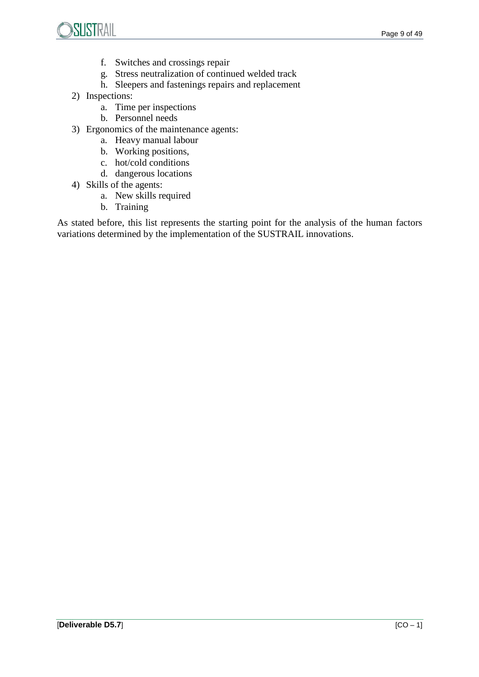



- f. Switches and crossings repair
- g. Stress neutralization of continued welded track
- h. Sleepers and fastenings repairs and replacement
- 2) Inspections:
	- a. Time per inspections
	- b. Personnel needs
- 3) Ergonomics of the maintenance agents:
	- a. Heavy manual labour
	- b. Working positions,
	- c. hot/cold conditions
	- d. dangerous locations
- 4) Skills of the agents:
	- a. New skills required
	- b. Training

As stated before, this list represents the starting point for the analysis of the human factors variations determined by the implementation of the SUSTRAIL innovations.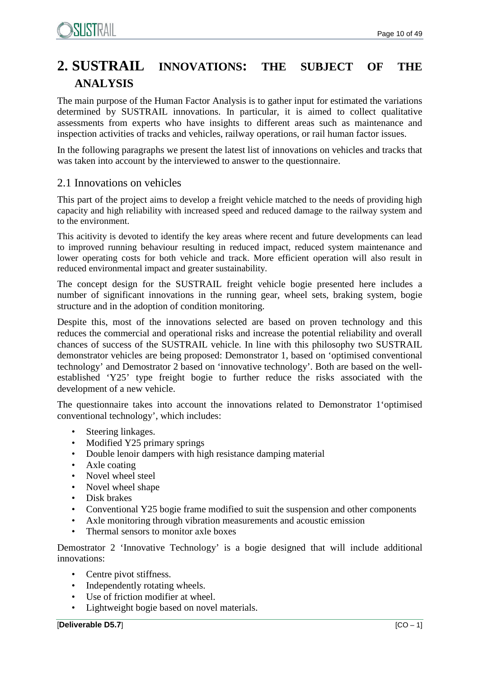# **2. SUSTRAIL INNOVATIONS: THE SUBJECT OF THE ANALYSIS**

The main purpose of the Human Factor Analysis is to gather input for estimated the variations determined by SUSTRAIL innovations. In particular, it is aimed to collect qualitative assessments from experts who have insights to different areas such as maintenance and inspection activities of tracks and vehicles, railway operations, or rail human factor issues.

In the following paragraphs we present the latest list of innovations on vehicles and tracks that was taken into account by the interviewed to answer to the questionnaire.

## 2.1 Innovations on vehicles

This part of the project aims to develop a freight vehicle matched to the needs of providing high capacity and high reliability with increased speed and reduced damage to the railway system and to the environment.

This acitivity is devoted to identify the key areas where recent and future developments can lead to improved running behaviour resulting in reduced impact, reduced system maintenance and lower operating costs for both vehicle and track. More efficient operation will also result in reduced environmental impact and greater sustainability.

The concept design for the SUSTRAIL freight vehicle bogie presented here includes a number of significant innovations in the running gear, wheel sets, braking system, bogie structure and in the adoption of condition monitoring.

Despite this, most of the innovations selected are based on proven technology and this reduces the commercial and operational risks and increase the potential reliability and overall chances of success of the SUSTRAIL vehicle. In line with this philosophy two SUSTRAIL demonstrator vehicles are being proposed: Demonstrator 1, based on 'optimised conventional technology' and Demostrator 2 based on 'innovative technology'. Both are based on the wellestablished 'Y25' type freight bogie to further reduce the risks associated with the development of a new vehicle.

The questionnaire takes into account the innovations related to Demonstrator 1'optimised conventional technology', which includes:

- Steering linkages.
- Modified Y25 primary springs
- Double lenoir dampers with high resistance damping material
- Axle coating
- Novel wheel steel
- Novel wheel shape
- Disk brakes
- Conventional Y25 bogie frame modified to suit the suspension and other components
- Axle monitoring through vibration measurements and acoustic emission
- Thermal sensors to monitor axle boxes

Demostrator 2 'Innovative Technology' is a bogie designed that will include additional innovations:

- Centre pivot stiffness.
- Independently rotating wheels.
- Use of friction modifier at wheel.
- Lightweight bogie based on novel materials.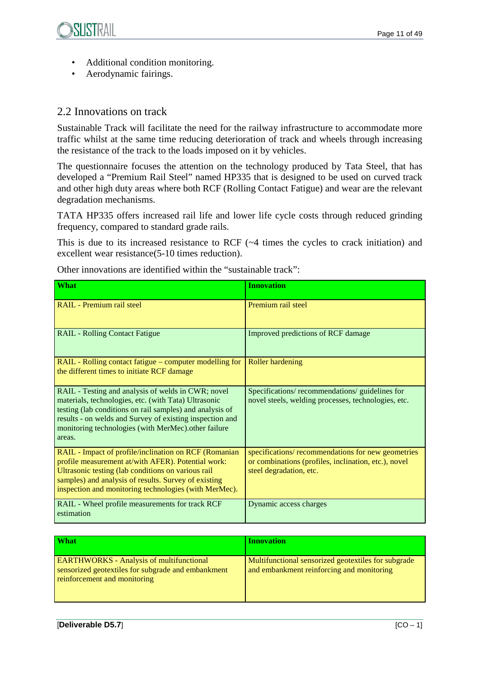- Additional condition monitoring.
- Aerodynamic fairings.

## 2.2 Innovations on track

Sustainable Track will facilitate the need for the railway infrastructure to accommodate more traffic whilst at the same time reducing deterioration of track and wheels through increasing the resistance of the track to the loads imposed on it by vehicles.

The questionnaire focuses the attention on the technology produced by Tata Steel, that has developed a "Premium Rail Steel" named HP335 that is designed to be used on curved track and other high duty areas where both RCF (Rolling Contact Fatigue) and wear are the relevant degradation mechanisms.

TATA HP335 offers increased rail life and lower life cycle costs through reduced grinding frequency, compared to standard grade rails.

This is due to its increased resistance to RCF (~4 times the cycles to crack initiation) and excellent wear resistance(5-10 times reduction).

| What                                                                                                                                                                                                                                                                                                | <b>Innovation</b>                                                                                                                    |
|-----------------------------------------------------------------------------------------------------------------------------------------------------------------------------------------------------------------------------------------------------------------------------------------------------|--------------------------------------------------------------------------------------------------------------------------------------|
| <b>RAIL</b> - Premium rail steel                                                                                                                                                                                                                                                                    | Premium rail steel                                                                                                                   |
| <b>RAIL - Rolling Contact Fatigue</b>                                                                                                                                                                                                                                                               | Improved predictions of RCF damage                                                                                                   |
| RAIL - Rolling contact fatigue – computer modelling for<br>the different times to initiate RCF damage                                                                                                                                                                                               | <b>Roller hardening</b>                                                                                                              |
| RAIL - Testing and analysis of welds in CWR; novel<br>materials, technologies, etc. (with Tata) Ultrasonic<br>testing (lab conditions on rail samples) and analysis of<br>results - on welds and Survey of existing inspection and<br>monitoring technologies (with MerMec).other failure<br>areas. | Specifications/recommendations/guidelines for<br>novel steels, welding processes, technologies, etc.                                 |
| RAIL - Impact of profile/inclination on RCF (Romanian<br>profile measurement at/with AFER). Potential work:<br>Ultrasonic testing (lab conditions on various rail<br>samples) and analysis of results. Survey of existing<br>inspection and monitoring technologies (with MerMec).                  | specifications/recommendations for new geometries<br>or combinations (profiles, inclination, etc.), novel<br>steel degradation, etc. |
| RAIL - Wheel profile measurements for track RCF<br>estimation                                                                                                                                                                                                                                       | Dynamic access charges                                                                                                               |

Other innovations are identified within the "sustainable track":

| <b>What</b>                                                                                                                           | <b>Innovation</b>                                                                                |
|---------------------------------------------------------------------------------------------------------------------------------------|--------------------------------------------------------------------------------------------------|
| <b>EARTHWORKS</b> - Analysis of multifunctional<br>sensorized geotextiles for subgrade and embankment<br>reinforcement and monitoring | Multifunctional sensorized geotextiles for subgrade<br>and embankment reinforcing and monitoring |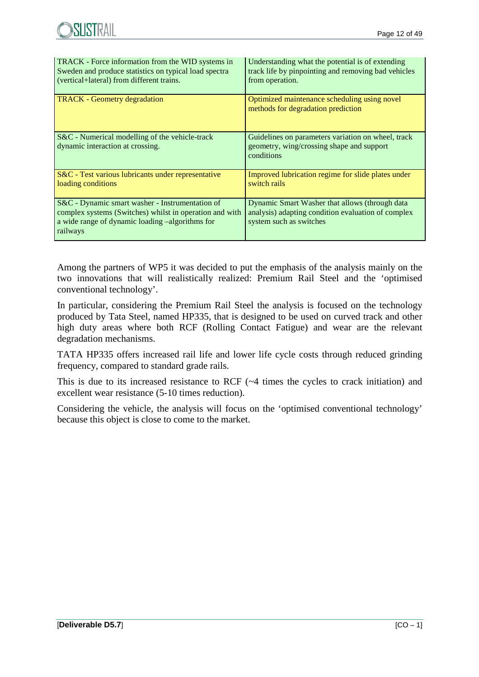| TRACK - Force information from the WID systems in<br>Sweden and produce statistics on typical load spectra<br>(vertical+lateral) from different trains.                   | Understanding what the potential is of extending<br>track life by pinpointing and removing bad vehicles<br>from operation.      |
|---------------------------------------------------------------------------------------------------------------------------------------------------------------------------|---------------------------------------------------------------------------------------------------------------------------------|
| <b>TRACK</b> - Geometry degradation                                                                                                                                       | Optimized maintenance scheduling using novel<br>methods for degradation prediction                                              |
| S&C - Numerical modelling of the vehicle-track<br>dynamic interaction at crossing.                                                                                        | Guidelines on parameters variation on wheel, track<br>geometry, wing/crossing shape and support<br>conditions                   |
| S&C - Test various lubricants under representative<br>loading conditions                                                                                                  | Improved lubrication regime for slide plates under<br>switch rails                                                              |
| S&C - Dynamic smart washer - Instrumentation of<br>complex systems (Switches) whilst in operation and with<br>a wide range of dynamic loading -algorithms for<br>railways | Dynamic Smart Washer that allows (through data<br>analysis) adapting condition evaluation of complex<br>system such as switches |

Among the partners of WP5 it was decided to put the emphasis of the analysis mainly on the two innovations that will realistically realized: Premium Rail Steel and the 'optimised conventional technology'.

In particular, considering the Premium Rail Steel the analysis is focused on the technology produced by Tata Steel, named HP335, that is designed to be used on curved track and other high duty areas where both RCF (Rolling Contact Fatigue) and wear are the relevant degradation mechanisms.

TATA HP335 offers increased rail life and lower life cycle costs through reduced grinding frequency, compared to standard grade rails.

This is due to its increased resistance to RCF (~4 times the cycles to crack initiation) and excellent wear resistance (5-10 times reduction).

Considering the vehicle, the analysis will focus on the 'optimised conventional technology' because this object is close to come to the market.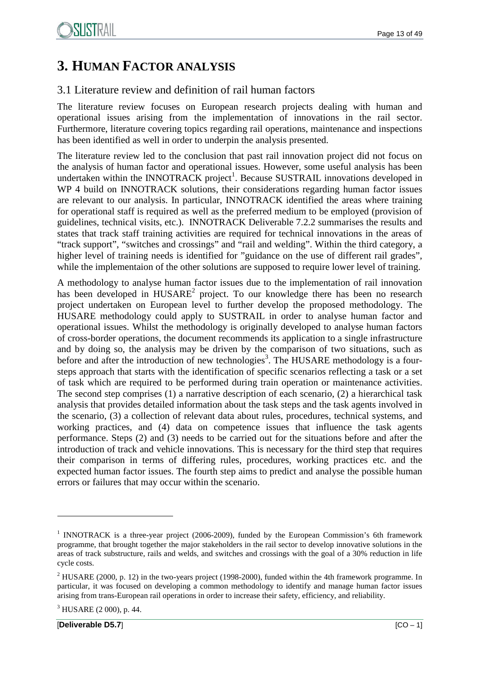# **3. HUMAN FACTOR ANALYSIS**

## 3.1 Literature review and definition of rail human factors

The literature review focuses on European research projects dealing with human and operational issues arising from the implementation of innovations in the rail sector. Furthermore, literature covering topics regarding rail operations, maintenance and inspections has been identified as well in order to underpin the analysis presented.

The literature review led to the conclusion that past rail innovation project did not focus on the analysis of human factor and operational issues. However, some useful analysis has been undertaken within the INNOTRACK project<sup>1</sup>. Because SUSTRAIL innovations developed in WP 4 build on INNOTRACK solutions, their considerations regarding human factor issues are relevant to our analysis. In particular, INNOTRACK identified the areas where training for operational staff is required as well as the preferred medium to be employed (provision of guidelines, technical visits, etc.). INNOTRACK Deliverable 7.2.2 summarises the results and states that track staff training activities are required for technical innovations in the areas of "track support", "switches and crossings" and "rail and welding". Within the third category, a higher level of training needs is identified for "guidance on the use of different rail grades", while the implementaion of the other solutions are supposed to require lower level of training.

A methodology to analyse human factor issues due to the implementation of rail innovation has been developed in  $HUSARE<sup>2</sup>$  project. To our knowledge there has been no research project undertaken on European level to further develop the proposed methodology. The HUSARE methodology could apply to SUSTRAIL in order to analyse human factor and operational issues. Whilst the methodology is originally developed to analyse human factors of cross-border operations, the document recommends its application to a single infrastructure and by doing so, the analysis may be driven by the comparison of two situations, such as before and after the introduction of new technologies<sup>3</sup>. The HUSARE methodology is a foursteps approach that starts with the identification of specific scenarios reflecting a task or a set of task which are required to be performed during train operation or maintenance activities. The second step comprises (1) a narrative description of each scenario, (2) a hierarchical task analysis that provides detailed information about the task steps and the task agents involved in the scenario, (3) a collection of relevant data about rules, procedures, technical systems, and working practices, and (4) data on competence issues that influence the task agents performance. Steps (2) and (3) needs to be carried out for the situations before and after the introduction of track and vehicle innovations. This is necessary for the third step that requires their comparison in terms of differing rules, procedures, working practices etc. and the expected human factor issues. The fourth step aims to predict and analyse the possible human errors or failures that may occur within the scenario.

<sup>&</sup>lt;sup>1</sup> INNOTRACK is a three-year project (2006-2009), funded by the European Commission's 6th framework programme, that brought together the major stakeholders in the rail sector to develop innovative solutions in the areas of track substructure, rails and welds, and switches and crossings with the goal of a 30% reduction in life cycle costs.

 $2$  HUSARE (2000, p. 12) in the two-years project (1998-2000), funded within the 4th framework programme. In particular, it was focused on developing a common methodology to identify and manage human factor issues arising from trans-European rail operations in order to increase their safety, efficiency, and reliability.

 $3$  HUSARE (2 000), p. 44.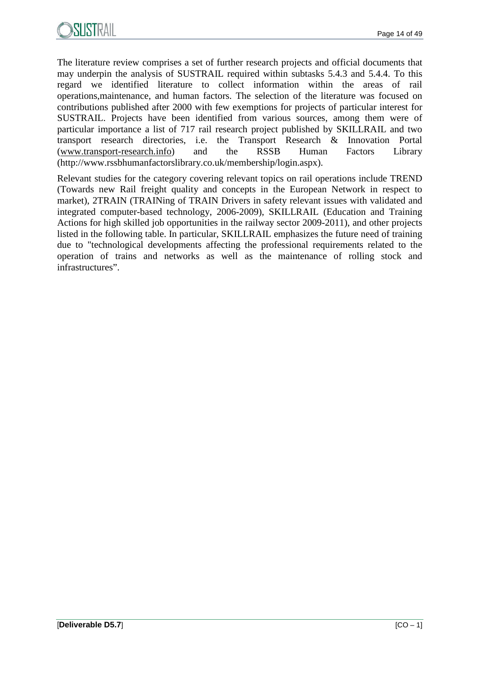

The literature review comprises a set of further research projects and official documents that may underpin the analysis of SUSTRAIL required within subtasks 5.4.3 and 5.4.4. To this regard we identified literature to collect information within the areas of rail operations,maintenance, and human factors. The selection of the literature was focused on contributions published after 2000 with few exemptions for projects of particular interest for SUSTRAIL. Projects have been identified from various sources, among them were of particular importance a list of 717 rail research project published by SKILLRAIL and two transport research directories, i.e. the Transport Research & Innovation Portal (www.transport-research.info) and the RSSB Human Factors Library (http://www.rssbhumanfactorslibrary.co.uk/membership/login.aspx).

Relevant studies for the category covering relevant topics on rail operations include TREND (Towards new Rail freight quality and concepts in the European Network in respect to market), 2TRAIN (TRAINing of TRAIN Drivers in safety relevant issues with validated and integrated computer-based technology, 2006-2009), SKILLRAIL (Education and Training Actions for high skilled job opportunities in the railway sector 2009-2011), and other projects listed in the following table. In particular, SKILLRAIL emphasizes the future need of training due to "technological developments affecting the professional requirements related to the operation of trains and networks as well as the maintenance of rolling stock and infrastructures".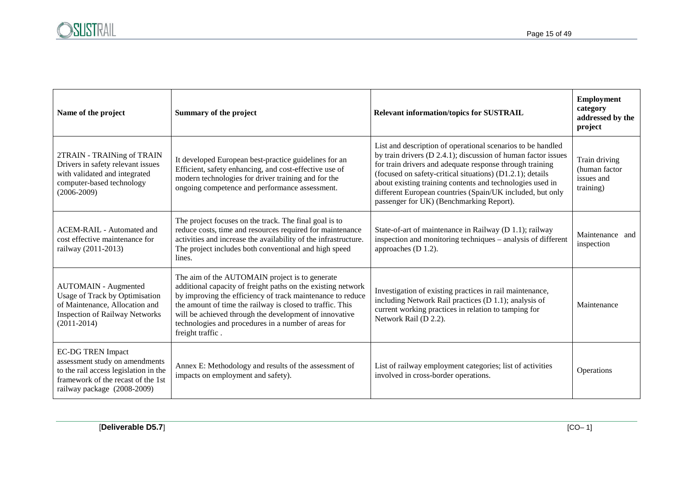| Name of the project                                                                                                                                                      | Summary of the project                                                                                                                                                                                                                                                                                                                                                          | <b>Relevant information/topics for SUSTRAIL</b>                                                                                                                                                                                                                                                                                                                                                                             | <b>Employment</b><br>category<br>addressed by the<br>project |
|--------------------------------------------------------------------------------------------------------------------------------------------------------------------------|---------------------------------------------------------------------------------------------------------------------------------------------------------------------------------------------------------------------------------------------------------------------------------------------------------------------------------------------------------------------------------|-----------------------------------------------------------------------------------------------------------------------------------------------------------------------------------------------------------------------------------------------------------------------------------------------------------------------------------------------------------------------------------------------------------------------------|--------------------------------------------------------------|
| 2TRAIN - TRAINing of TRAIN<br>Drivers in safety relevant issues<br>with validated and integrated<br>computer-based technology<br>$(2006 - 2009)$                         | It developed European best-practice guidelines for an<br>Efficient, safety enhancing, and cost-effective use of<br>modern technologies for driver training and for the<br>ongoing competence and performance assessment.                                                                                                                                                        | List and description of operational scenarios to be handled<br>by train drivers (D 2.4.1); discussion of human factor issues<br>for train drivers and adequate response through training<br>(focused on safety-critical situations) (D1.2.1); details<br>about existing training contents and technologies used in<br>different European countries (Spain/UK included, but only<br>passenger for UK) (Benchmarking Report). | Train driving<br>(human factor<br>issues and<br>training)    |
| ACEM-RAIL - Automated and<br>cost effective maintenance for<br>railway (2011-2013)                                                                                       | The project focuses on the track. The final goal is to<br>reduce costs, time and resources required for maintenance<br>activities and increase the availability of the infrastructure.<br>The project includes both conventional and high speed<br>lines.                                                                                                                       | State-of-art of maintenance in Railway (D 1.1); railway<br>inspection and monitoring techniques - analysis of different<br>approaches (D 1.2).                                                                                                                                                                                                                                                                              | Maintenance and<br>inspection                                |
| <b>AUTOMAIN</b> - Augmented<br>Usage of Track by Optimisation<br>of Maintenance, Allocation and<br><b>Inspection of Railway Networks</b><br>$(2011-2014)$                | The aim of the AUTOMAIN project is to generate<br>additional capacity of freight paths on the existing network<br>by improving the efficiency of track maintenance to reduce<br>the amount of time the railway is closed to traffic. This<br>will be achieved through the development of innovative<br>technologies and procedures in a number of areas for<br>freight traffic. | Investigation of existing practices in rail maintenance,<br>including Network Rail practices (D 1.1); analysis of<br>current working practices in relation to tamping for<br>Network Rail (D 2.2).                                                                                                                                                                                                                          | Maintenance                                                  |
| <b>EC-DG TREN Impact</b><br>assessment study on amendments<br>to the rail access legislation in the<br>framework of the recast of the 1st<br>railway package (2008-2009) | Annex E: Methodology and results of the assessment of<br>impacts on employment and safety).                                                                                                                                                                                                                                                                                     | List of railway employment categories; list of activities<br>involved in cross-border operations.                                                                                                                                                                                                                                                                                                                           | Operations                                                   |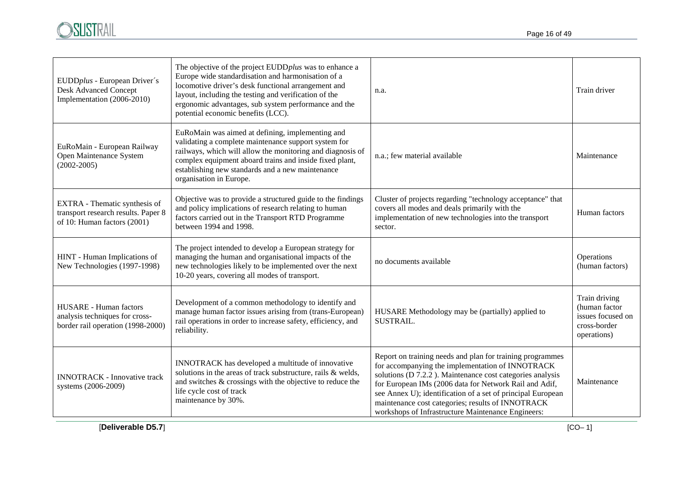

| EUDDplus - European Driver's<br><b>Desk Advanced Concept</b><br>Implementation (2006-2010)           | The objective of the project EUDDplus was to enhance a<br>Europe wide standardisation and harmonisation of a<br>locomotive driver's desk functional arrangement and<br>layout, including the testing and verification of the<br>ergonomic advantages, sub system performance and the<br>potential economic benefits (LCC). | n.a.                                                                                                                                                                                                                                                                                                                                                                                                           | Train driver                                                                       |
|------------------------------------------------------------------------------------------------------|----------------------------------------------------------------------------------------------------------------------------------------------------------------------------------------------------------------------------------------------------------------------------------------------------------------------------|----------------------------------------------------------------------------------------------------------------------------------------------------------------------------------------------------------------------------------------------------------------------------------------------------------------------------------------------------------------------------------------------------------------|------------------------------------------------------------------------------------|
| EuRoMain - European Railway<br>Open Maintenance System<br>$(2002 - 2005)$                            | EuRoMain was aimed at defining, implementing and<br>validating a complete maintenance support system for<br>railways, which will allow the monitoring and diagnosis of<br>complex equipment aboard trains and inside fixed plant,<br>establishing new standards and a new maintenance<br>organisation in Europe.           | n.a.; few material available                                                                                                                                                                                                                                                                                                                                                                                   | Maintenance                                                                        |
| EXTRA - Thematic synthesis of<br>transport research results. Paper 8<br>of 10: Human factors (2001)  | Objective was to provide a structured guide to the findings<br>and policy implications of research relating to human<br>factors carried out in the Transport RTD Programme<br>between 1994 and 1998.                                                                                                                       | Cluster of projects regarding "technology acceptance" that<br>covers all modes and deals primarily with the<br>implementation of new technologies into the transport<br>sector.                                                                                                                                                                                                                                | Human factors                                                                      |
| HINT - Human Implications of<br>New Technologies (1997-1998)                                         | The project intended to develop a European strategy for<br>managing the human and organisational impacts of the<br>new technologies likely to be implemented over the next<br>10-20 years, covering all modes of transport.                                                                                                | no documents available                                                                                                                                                                                                                                                                                                                                                                                         | Operations<br>(human factors)                                                      |
| <b>HUSARE</b> - Human factors<br>analysis techniques for cross-<br>border rail operation (1998-2000) | Development of a common methodology to identify and<br>manage human factor issues arising from (trans-European)<br>rail operations in order to increase safety, efficiency, and<br>reliability.                                                                                                                            | HUSARE Methodology may be (partially) applied to<br>SUSTRAIL.                                                                                                                                                                                                                                                                                                                                                  | Train driving<br>(human factor<br>issues focused on<br>cross-border<br>operations) |
| <b>INNOTRACK</b> - Innovative track<br>systems (2006-2009)                                           | INNOTRACK has developed a multitude of innovative<br>solutions in the areas of track substructure, rails & welds,<br>and switches & crossings with the objective to reduce the<br>life cycle cost of track<br>maintenance by 30%.                                                                                          | Report on training needs and plan for training programmes<br>for accompanying the implementation of INNOTRACK<br>solutions (D 7.2.2). Maintenance cost categories analysis<br>for European IMs (2006 data for Network Rail and Adif,<br>see Annex U); identification of a set of principal European<br>maintenance cost categories; results of INNOTRACK<br>workshops of Infrastructure Maintenance Engineers: | Maintenance                                                                        |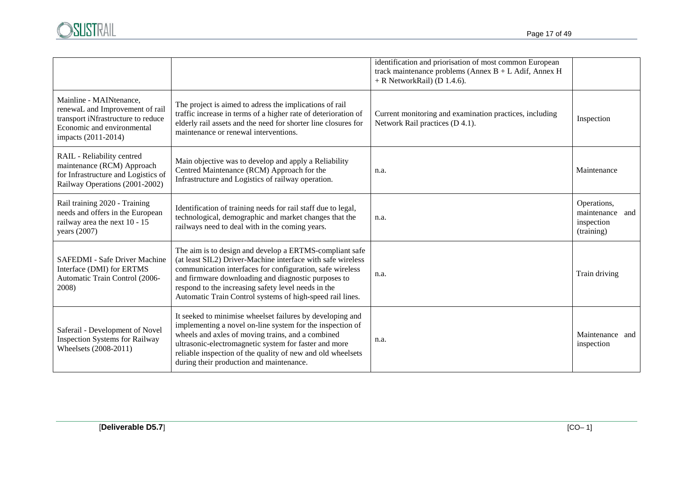

|                                                                                                                                                       |                                                                                                                                                                                                                                                                                                                                                                | identification and priorisation of most common European<br>track maintenance problems (Annex $B + L$ Adif, Annex H<br>$+$ R NetworkRail) (D 1.4.6). |                                                            |
|-------------------------------------------------------------------------------------------------------------------------------------------------------|----------------------------------------------------------------------------------------------------------------------------------------------------------------------------------------------------------------------------------------------------------------------------------------------------------------------------------------------------------------|-----------------------------------------------------------------------------------------------------------------------------------------------------|------------------------------------------------------------|
| Mainline - MAINtenance,<br>renewaL and Improvement of rail<br>transport iNfrastructure to reduce<br>Economic and environmental<br>impacts (2011-2014) | The project is aimed to adress the implications of rail<br>traffic increase in terms of a higher rate of deterioration of<br>elderly rail assets and the need for shorter line closures for<br>maintenance or renewal interventions.                                                                                                                           | Current monitoring and examination practices, including<br>Network Rail practices (D 4.1).                                                          | Inspection                                                 |
| RAIL - Reliability centred<br>maintenance (RCM) Approach<br>for Infrastructure and Logistics of<br>Railway Operations (2001-2002)                     | Main objective was to develop and apply a Reliability<br>Centred Maintenance (RCM) Approach for the<br>Infrastructure and Logistics of railway operation.                                                                                                                                                                                                      | n.a.                                                                                                                                                | Maintenance                                                |
| Rail training 2020 - Training<br>needs and offers in the European<br>railway area the next 10 - 15<br>years $(2007)$                                  | Identification of training needs for rail staff due to legal,<br>technological, demographic and market changes that the<br>railways need to deal with in the coming years.                                                                                                                                                                                     | n.a.                                                                                                                                                | Operations,<br>maintenance and<br>inspection<br>(training) |
| SAFEDMI - Safe Driver Machine<br>Interface (DMI) for ERTMS<br>Automatic Train Control (2006-<br>2008)                                                 | The aim is to design and develop a ERTMS-compliant safe<br>(at least SIL2) Driver-Machine interface with safe wireless<br>communication interfaces for configuration, safe wireless<br>and firmware downloading and diagnostic purposes to<br>respond to the increasing safety level needs in the<br>Automatic Train Control systems of high-speed rail lines. | n.a.                                                                                                                                                | Train driving                                              |
| Saferail - Development of Novel<br><b>Inspection Systems for Railway</b><br>Wheelsets (2008-2011)                                                     | It seeked to minimise wheelset failures by developing and<br>implementing a novel on-line system for the inspection of<br>wheels and axles of moving trains, and a combined<br>ultrasonic-electromagnetic system for faster and more<br>reliable inspection of the quality of new and old wheelsets<br>during their production and maintenance.                | n.a.                                                                                                                                                | Maintenance and<br>inspection                              |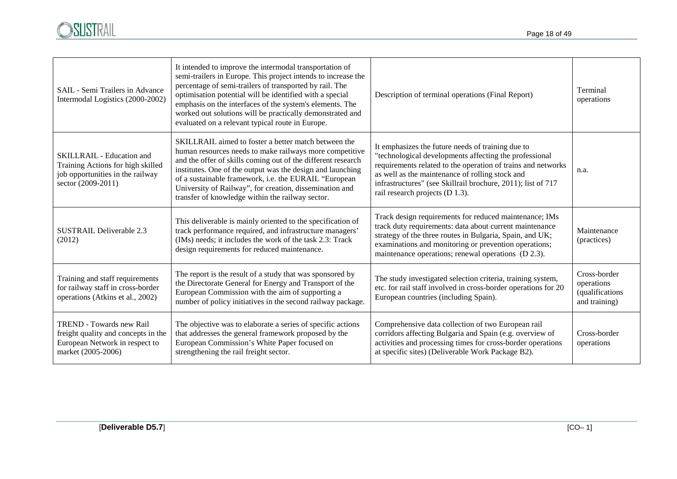

| SAIL - Semi Trailers in Advance<br>Intermodal Logistics (2000-2002)                                                            | It intended to improve the intermodal transportation of<br>semi-trailers in Europe. This project intends to increase the<br>percentage of semi-trailers of transported by rail. The<br>optimisation potential will be identified with a special<br>emphasis on the interfaces of the system's elements. The<br>worked out solutions will be practically demonstrated and<br>evaluated on a relevant typical route in Europe. | Description of terminal operations (Final Report)                                                                                                                                                                                                                                                                                 | Terminal<br>operations                                          |
|--------------------------------------------------------------------------------------------------------------------------------|------------------------------------------------------------------------------------------------------------------------------------------------------------------------------------------------------------------------------------------------------------------------------------------------------------------------------------------------------------------------------------------------------------------------------|-----------------------------------------------------------------------------------------------------------------------------------------------------------------------------------------------------------------------------------------------------------------------------------------------------------------------------------|-----------------------------------------------------------------|
| SKILLRAIL - Education and<br>Training Actions for high skilled<br>job opportunities in the railway<br>sector (2009-2011)       | SKILLRAIL aimed to foster a better match between the<br>human resources needs to make railways more competitive<br>and the offer of skills coming out of the different research<br>institutes. One of the output was the design and launching<br>of a sustainable framework, i.e. the EURAIL "European<br>University of Railway", for creation, dissemination and<br>transfer of knowledge within the railway sector.        | It emphasizes the future needs of training due to<br>"technological developments affecting the professional<br>requirements related to the operation of trains and networks<br>as well as the maintenance of rolling stock and<br>infrastructures" (see Skillrail brochure, 2011); list of 717<br>rail research projects (D 1.3). | n.a.                                                            |
| SUSTRAIL Deliverable 2.3<br>(2012)                                                                                             | This deliverable is mainly oriented to the specification of<br>track performance required, and infrastructure managers'<br>(IMs) needs; it includes the work of the task 2.3: Track<br>design requirements for reduced maintenance.                                                                                                                                                                                          | Track design requirements for reduced maintenance; IMs<br>track duty requirements: data about current maintenance<br>strategy of the three routes in Bulgaria, Spain, and UK;<br>examinations and monitoring or prevention operations;<br>maintenance operations; renewal operations (D 2.3).                                     | Maintenance<br>(practices)                                      |
| Training and staff requirements<br>for railway staff in cross-border<br>operations (Atkins et al., 2002)                       | The report is the result of a study that was sponsored by<br>the Directorate General for Energy and Transport of the<br>European Commission with the aim of supporting a<br>number of policy initiatives in the second railway package.                                                                                                                                                                                      | The study investigated selection criteria, training system,<br>etc. for rail staff involved in cross-border operations for 20<br>European countries (including Spain).                                                                                                                                                            | Cross-border<br>operations<br>(qualifications)<br>and training) |
| <b>TREND</b> - Towards new Rail<br>freight quality and concepts in the<br>European Network in respect to<br>market (2005-2006) | The objective was to elaborate a series of specific actions<br>that addresses the general framework proposed by the<br>European Commission's White Paper focused on<br>strengthening the rail freight sector.                                                                                                                                                                                                                | Comprehensive data collection of two European rail<br>corridors affecting Bulgaria and Spain (e.g. overview of<br>activities and processing times for cross-border operations<br>at specific sites) (Deliverable Work Package B2).                                                                                                | Cross-border<br>operations                                      |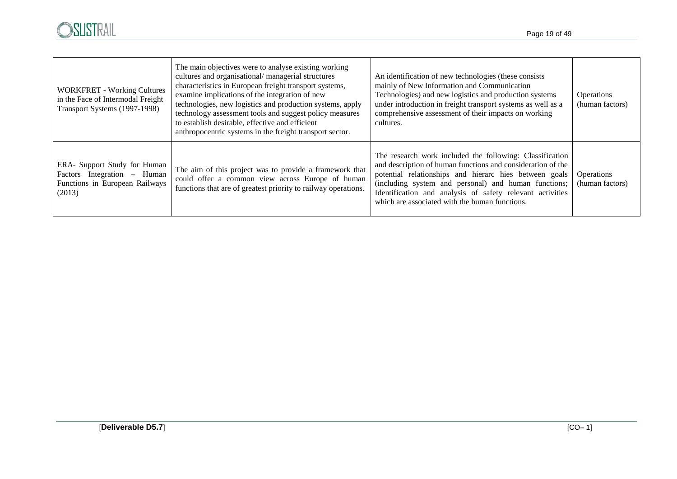

| <b>WORKFRET - Working Cultures</b><br>in the Face of Intermodal Freight<br>Transport Systems (1997-1998) | The main objectives were to analyse existing working<br>cultures and organisational/managerial structures<br>characteristics in European freight transport systems,<br>examine implications of the integration of new<br>technologies, new logistics and production systems, apply<br>technology assessment tools and suggest policy measures<br>to establish desirable, effective and efficient<br>anthropocentric systems in the freight transport sector. | An identification of new technologies (these consists<br>mainly of New Information and Communication<br>Technologies) and new logistics and production systems<br>under introduction in freight transport systems as well as a<br>comprehensive assessment of their impacts on working<br>cultures.                                                      | <b>Operations</b><br>(human factors) |
|----------------------------------------------------------------------------------------------------------|--------------------------------------------------------------------------------------------------------------------------------------------------------------------------------------------------------------------------------------------------------------------------------------------------------------------------------------------------------------------------------------------------------------------------------------------------------------|----------------------------------------------------------------------------------------------------------------------------------------------------------------------------------------------------------------------------------------------------------------------------------------------------------------------------------------------------------|--------------------------------------|
| ERA- Support Study for Human<br>Factors Integration – Human<br>Functions in European Railways<br>(2013)  | The aim of this project was to provide a framework that<br>could offer a common view across Europe of human<br>functions that are of greatest priority to railway operations.                                                                                                                                                                                                                                                                                | The research work included the following: Classification<br>and description of human functions and consideration of the<br>potential relationships and hierarc hies between goals<br>(including system and personal) and human functions;<br>Identification and analysis of safety relevant activities<br>which are associated with the human functions. | <b>Operations</b><br>(human factors) |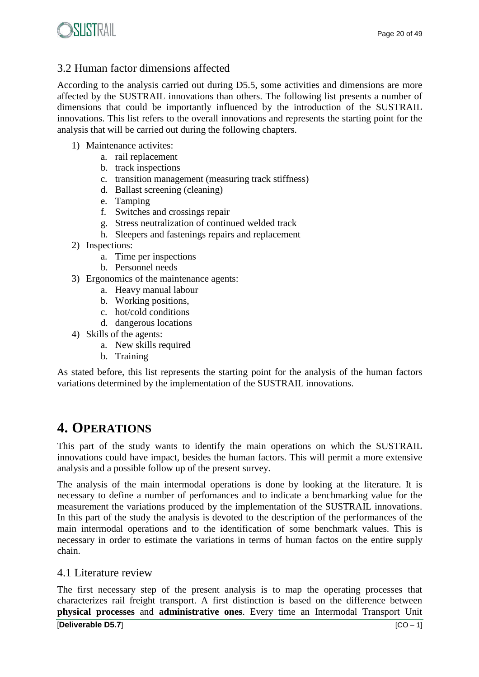## 3.2 Human factor dimensions affected

According to the analysis carried out during D5.5, some activities and dimensions are more affected by the SUSTRAIL innovations than others. The following list presents a number of dimensions that could be importantly influenced by the introduction of the SUSTRAIL innovations. This list refers to the overall innovations and represents the starting point for the analysis that will be carried out during the following chapters.

- 1) Maintenance activites:
	- a. rail replacement
	- b. track inspections
	- c. transition management (measuring track stiffness)
	- d. Ballast screening (cleaning)
	- e. Tamping
	- f. Switches and crossings repair
	- g. Stress neutralization of continued welded track
	- h. Sleepers and fastenings repairs and replacement
- 2) Inspections:
	- a. Time per inspections
	- b. Personnel needs
- 3) Ergonomics of the maintenance agents:
	- a. Heavy manual labour
	- b. Working positions,
	- c. hot/cold conditions
	- d. dangerous locations
- 4) Skills of the agents:
	- a. New skills required
	- b. Training

As stated before, this list represents the starting point for the analysis of the human factors variations determined by the implementation of the SUSTRAIL innovations.

## **4. OPERATIONS**

This part of the study wants to identify the main operations on which the SUSTRAIL innovations could have impact, besides the human factors. This will permit a more extensive analysis and a possible follow up of the present survey.

The analysis of the main intermodal operations is done by looking at the literature. It is necessary to define a number of perfomances and to indicate a benchmarking value for the measurement the variations produced by the implementation of the SUSTRAIL innovations. In this part of the study the analysis is devoted to the description of the performances of the main intermodal operations and to the identification of some benchmark values. This is necessary in order to estimate the variations in terms of human factos on the entire supply chain.

## 4.1 Literature review

[**Deliverable D5.7**] [CO – 1] The first necessary step of the present analysis is to map the operating processes that characterizes rail freight transport. A first distinction is based on the difference between **physical processes** and **administrative ones**. Every time an Intermodal Transport Unit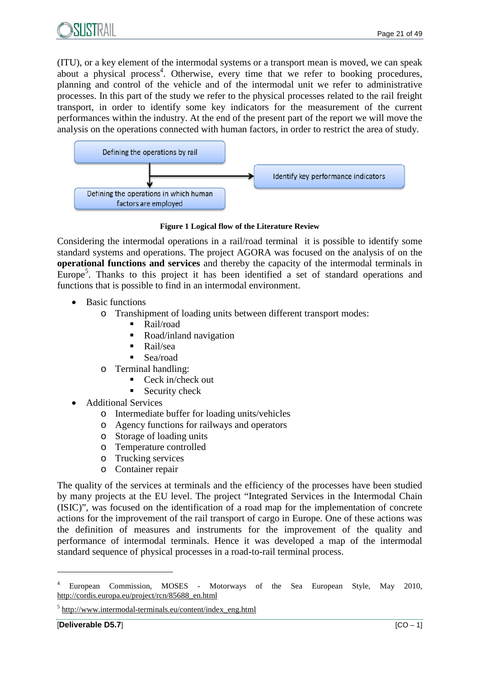

(ITU), or a key element of the intermodal systems or a transport mean is moved, we can speak about a physical process<sup>4</sup>. Otherwise, every time that we refer to booking procedures, planning and control of the vehicle and of the intermodal unit we refer to administrative processes. In this part of the study we refer to the physical processes related to the rail freight transport, in order to identify some key indicators for the measurement of the current performances within the industry. At the end of the present part of the report we will move the analysis on the operations connected with human factors, in order to restrict the area of study.



**Figure 1 Logical flow of the Literature Review**

Considering the intermodal operations in a rail/road terminal it is possible to identify some standard systems and operations. The project AGORA was focused on the analysis of on the **operational functions and services** and thereby the capacity of the intermodal terminals in Europe<sup>5</sup>. Thanks to this project it has been identified a set of standard operations and functions that is possible to find in an intermodal environment.

- Basic functions
	- o Transhipment of loading units between different transport modes:
		- Rail/road
		- Road/inland navigation
		- Rail/sea
		- Sea/road
	- o Terminal handling:
		- Ceck in/check out
		- Security check
- Additional Services
	- o Intermediate buffer for loading units/vehicles
	- o Agency functions for railways and operators
	- o Storage of loading units
	- o Temperature controlled
	- o Trucking services
	- o Container repair

The quality of the services at terminals and the efficiency of the processes have been studied by many projects at the EU level. The project "Integrated Services in the Intermodal Chain (ISIC)", was focused on the identification of a road map for the implementation of concrete actions for the improvement of the rail transport of cargo in Europe. One of these actions was the definition of measures and instruments for the improvement of the quality and performance of intermodal terminals. Hence it was developed a map of the intermodal standard sequence of physical processes in a road-to-rail terminal process.

<sup>4</sup> European Commission, MOSES - Motorways of the Sea European Style, May 2010, http://cordis.europa.eu/project/rcn/85688\_en.html

<sup>&</sup>lt;sup>5</sup> http://www.intermodal-terminals.eu/content/index\_eng.html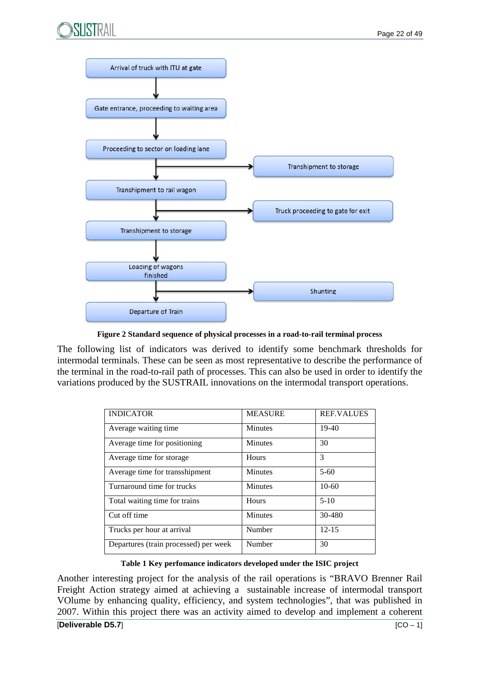



**Figure 2 Standard sequence of physical processes in a road-to-rail terminal process**

The following list of indicators was derived to identify some benchmark thresholds for intermodal terminals. These can be seen as most representative to describe the performance of the terminal in the road-to-rail path of processes. This can also be used in order to identify the variations produced by the SUSTRAIL innovations on the intermodal transport operations.

| <b>INDICATOR</b>                      | <b>MEASURE</b> | <b>REF.VALUES</b> |
|---------------------------------------|----------------|-------------------|
| Average waiting time                  | <b>Minutes</b> | $19-40$           |
| Average time for positioning          | <b>Minutes</b> | 30                |
| Average time for storage              | <b>Hours</b>   | 3                 |
| Average time for transshipment        | <b>Minutes</b> | $5-60$            |
| Turnaround time for trucks            | <b>Minutes</b> | $10-60$           |
| Total waiting time for trains         | Hours          | $5-10$            |
| Cut off time                          | <b>Minutes</b> | 30-480            |
| Trucks per hour at arrival            | Number         | $12 - 15$         |
| Departures (train processed) per week | Number         | 30                |

**Table 1 Key perfomance indicators developed under the ISIC project**

Another interesting project for the analysis of the rail operations is "BRAVO Brenner Rail Freight Action strategy aimed at achieving a sustainable increase of intermodal transport VOlume by enhancing quality, efficiency, and system technologies", that was published in 2007. Within this project there was an activity aimed to develop and implement a coherent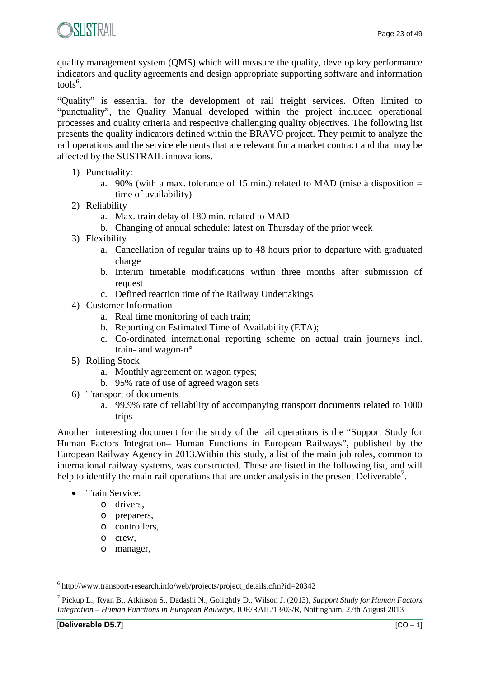

quality management system (QMS) which will measure the quality, develop key performance indicators and quality agreements and design appropriate supporting software and information tools<sup>6</sup>.

"Quality" is essential for the development of rail freight services. Often limited to "punctuality", the Quality Manual developed within the project included operational processes and quality criteria and respective challenging quality objectives. The following list presents the quality indicators defined within the BRAVO project. They permit to analyze the rail operations and the service elements that are relevant for a market contract and that may be affected by the SUSTRAIL innovations.

- 1) Punctuality:
	- a. 90% (with a max. tolerance of 15 min.) related to MAD (mise à disposition = time of availability)
- 2) Reliability
	- a. Max. train delay of 180 min. related to MAD
	- b. Changing of annual schedule: latest on Thursday of the prior week
- 3) Flexibility
	- a. Cancellation of regular trains up to 48 hours prior to departure with graduated charge
	- b. Interim timetable modifications within three months after submission of request
	- c. Defined reaction time of the Railway Undertakings
- 4) Customer Information
	- a. Real time monitoring of each train;
	- b. Reporting on Estimated Time of Availability (ETA);
	- c. Co-ordinated international reporting scheme on actual train journeys incl. train- and wagon-n°
- 5) Rolling Stock
	- a. Monthly agreement on wagon types;
	- b. 95% rate of use of agreed wagon sets
- 6) Transport of documents
	- a. 99.9% rate of reliability of accompanying transport documents related to 1000 trips

Another interesting document for the study of the rail operations is the "Support Study for Human Factors Integration– Human Functions in European Railways", published by the European Railway Agency in 2013.Within this study, a list of the main job roles, common to international railway systems, was constructed. These are listed in the following list, and will help to identify the main rail operations that are under analysis in the present Deliverable<sup>7</sup>.

- Train Service:
	- o drivers,
	- o preparers,
	- o controllers,
	- o crew,
	- o manager,

<sup>&</sup>lt;sup>6</sup> http://www.transport-research.info/web/projects/project\_details.cfm?id=20342

<sup>7</sup> Pickup L., Ryan B., Atkinson S., Dadashi N., Golightly D., Wilson J. (2013), *Support Study for Human Factors Integration – Human Functions in European Railways*, IOE/RAIL/13/03/R, Nottingham, 27th August 2013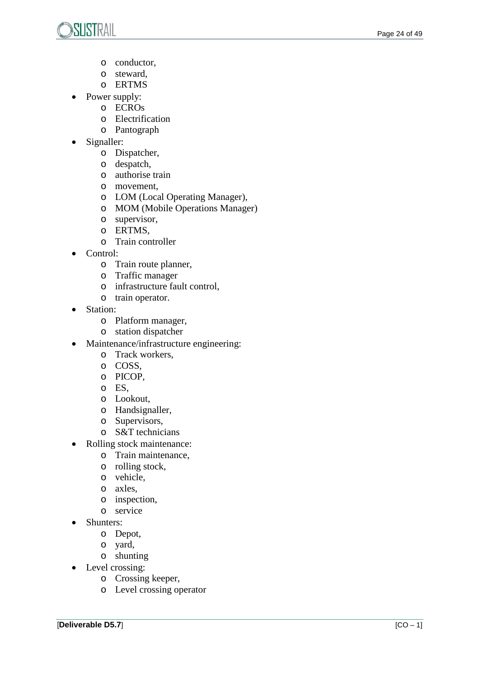

- o conductor,
- o steward,
- o ERTMS
- Power supply:
	- o ECROs
	- o Electrification
	- o Pantograph
- Signaller:
	- o Dispatcher,
	- o despatch,
	- o authorise train
	- o movement,
	- o LOM (Local Operating Manager),
	- o MOM (Mobile Operations Manager)
	- o supervisor,
	- o ERTMS,
	- o Train controller
- Control:
	- o Train route planner,
	- o Traffic manager
	- o infrastructure fault control,
	- o train operator.
- Station:
	- o Platform manager,
	- o station dispatcher
- Maintenance/infrastructure engineering:
	- o Track workers,
	- o COSS,
	- o PICOP,
	- o ES,
	- o Lookout,
	- o Handsignaller,
	- o Supervisors,
	- o S&T technicians
- Rolling stock maintenance:
	- o Train maintenance,
	- o rolling stock,
	- o vehicle,
	- o axles,
	- o inspection,
	- o service
- Shunters:
	- o Depot,
	- o yard,
	- o shunting
- Level crossing:
	- o Crossing keeper,
	- o Level crossing operator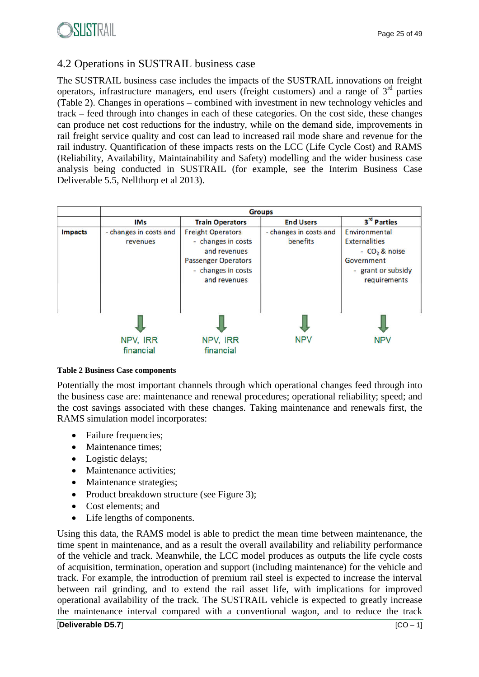## 4.2 Operations in SUSTRAIL business case

The SUSTRAIL business case includes the impacts of the SUSTRAIL innovations on freight operators, infrastructure managers, end users (freight customers) and a range of  $3<sup>rd</sup>$  parties (Table 2). Changes in operations – combined with investment in new technology vehicles and track – feed through into changes in each of these categories. On the cost side, these changes can produce net cost reductions for the industry, while on the demand side, improvements in rail freight service quality and cost can lead to increased rail mode share and revenue for the rail industry. Quantification of these impacts rests on the LCC (Life Cycle Cost) and RAMS (Reliability, Availability, Maintainability and Safety) modelling and the wider business case analysis being conducted in SUSTRAIL (for example, see the Interim Business Case Deliverable 5.5, Nellthorp et al 2013).

|                | <b>Groups</b>                      |                                                                                                                                    |                                    |                                                                                                                |  |  |  |
|----------------|------------------------------------|------------------------------------------------------------------------------------------------------------------------------------|------------------------------------|----------------------------------------------------------------------------------------------------------------|--|--|--|
|                | <b>IMs</b>                         | <b>Train Operators</b>                                                                                                             | <b>End Users</b>                   | 3rd Parties                                                                                                    |  |  |  |
| <b>Impacts</b> | - changes in costs and<br>revenues | <b>Freight Operators</b><br>- changes in costs<br>and revenues<br><b>Passenger Operators</b><br>- changes in costs<br>and revenues | - changes in costs and<br>benefits | Environmental<br><b>Externalities</b><br>$-CO2$ & noise<br>Government<br>grant or subsidy<br>÷<br>requirements |  |  |  |
|                | NPV, IRR<br>financial              | NPV, IRR<br>financial                                                                                                              | <b>NPV</b>                         | <b>NPV</b>                                                                                                     |  |  |  |

#### **Table 2 Business Case components**

Potentially the most important channels through which operational changes feed through into the business case are: maintenance and renewal procedures; operational reliability; speed; and the cost savings associated with these changes. Taking maintenance and renewals first, the RAMS simulation model incorporates:

- Failure frequencies;
- Maintenance times;
- Logistic delays;
- Maintenance activities;
- Maintenance strategies;
- Product breakdown structure (see Figure 3);
- Cost elements; and
- Life lengths of components.

Using this data, the RAMS model is able to predict the mean time between maintenance, the time spent in maintenance, and as a result the overall availability and reliability performance of the vehicle and track. Meanwhile, the LCC model produces as outputs the life cycle costs of acquisition, termination, operation and support (including maintenance) for the vehicle and track. For example, the introduction of premium rail steel is expected to increase the interval between rail grinding, and to extend the rail asset life, with implications for improved operational availability of the track. The SUSTRAIL vehicle is expected to greatly increase the maintenance interval compared with a conventional wagon, and to reduce the track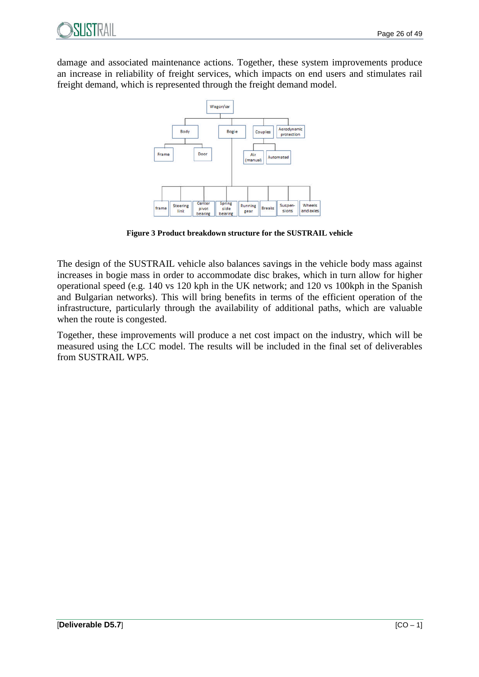

damage and associated maintenance actions. Together, these system improvements produce an increase in reliability of freight services, which impacts on end users and stimulates rail freight demand, which is represented through the freight demand model.



**Figure 3 Product breakdown structure for the SUSTRAIL vehicle**

The design of the SUSTRAIL vehicle also balances savings in the vehicle body mass against increases in bogie mass in order to accommodate disc brakes, which in turn allow for higher operational speed (e.g. 140 vs 120 kph in the UK network; and 120 vs 100kph in the Spanish and Bulgarian networks). This will bring benefits in terms of the efficient operation of the infrastructure, particularly through the availability of additional paths, which are valuable when the route is congested.

Together, these improvements will produce a net cost impact on the industry, which will be measured using the LCC model. The results will be included in the final set of deliverables from SUSTRAIL WP5.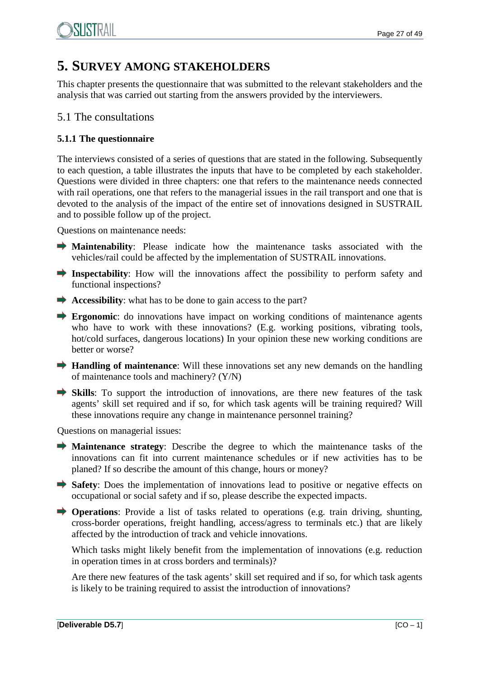## **5. SURVEY AMONG STAKEHOLDERS**

This chapter presents the questionnaire that was submitted to the relevant stakeholders and the analysis that was carried out starting from the answers provided by the interviewers.

## 5.1 The consultations

## **5.1.1 The questionnaire**

The interviews consisted of a series of questions that are stated in the following. Subsequently to each question, a table illustrates the inputs that have to be completed by each stakeholder. Questions were divided in three chapters: one that refers to the maintenance needs connected with rail operations, one that refers to the managerial issues in the rail transport and one that is devoted to the analysis of the impact of the entire set of innovations designed in SUSTRAIL and to possible follow up of the project.

Questions on maintenance needs:

- **Maintenability**: Please indicate how the maintenance tasks associated with the vehicles/rail could be affected by the implementation of SUSTRAIL innovations.
- **Inspectability**: How will the innovations affect the possibility to perform safety and functional inspections?
- Accessibility: what has to be done to gain access to the part?
- **Exponomic:** do innovations have impact on working conditions of maintenance agents who have to work with these innovations? (E.g. working positions, vibrating tools, hot/cold surfaces, dangerous locations) In your opinion these new working conditions are better or worse?
- **Handling of maintenance**: Will these innovations set any new demands on the handling of maintenance tools and machinery? (Y/N)
- **Skills**: To support the introduction of innovations, are there new features of the task agents' skill set required and if so, for which task agents will be training required? Will these innovations require any change in maintenance personnel training?

Questions on managerial issues:

- **Maintenance strategy**: Describe the degree to which the maintenance tasks of the innovations can fit into current maintenance schedules or if new activities has to be planed? If so describe the amount of this change, hours or money?
- Safety: Does the implementation of innovations lead to positive or negative effects on occupational or social safety and if so, please describe the expected impacts.
- **Operations**: Provide a list of tasks related to operations (e.g. train driving, shunting, cross-border operations, freight handling, access/agress to terminals etc.) that are likely affected by the introduction of track and vehicle innovations.

Which tasks might likely benefit from the implementation of innovations (e.g. reduction in operation times in at cross borders and terminals)?

Are there new features of the task agents' skill set required and if so, for which task agents is likely to be training required to assist the introduction of innovations?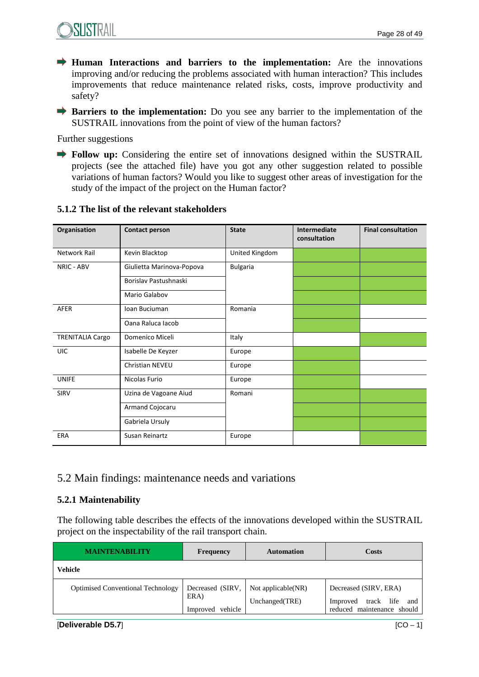

- **Human Interactions and barriers to the implementation:** Are the innovations improving and/or reducing the problems associated with human interaction? This includes improvements that reduce maintenance related risks, costs, improve productivity and safety?
- **Barriers to the implementation:** Do you see any barrier to the implementation of the SUSTRAIL innovations from the point of view of the human factors?

Further suggestions

**Follow up:** Considering the entire set of innovations designed within the SUSTRAIL projects (see the attached file) have you got any other suggestion related to possible variations of human factors? Would you like to suggest other areas of investigation for the study of the impact of the project on the Human factor?

| Organisation            | <b>Contact person</b>     | <b>State</b>    | Intermediate<br>consultation | <b>Final consultation</b> |
|-------------------------|---------------------------|-----------------|------------------------------|---------------------------|
| Network Rail            | Kevin Blacktop            | United Kingdom  |                              |                           |
| NRIC - ABV              | Giulietta Marinova-Popova | <b>Bulgaria</b> |                              |                           |
|                         | Borislav Pastushnaski     |                 |                              |                           |
|                         | Mario Galabov             |                 |                              |                           |
| <b>AFER</b>             | Ioan Buciuman             | Romania         |                              |                           |
|                         | Oana Raluca Iacob         |                 |                              |                           |
| <b>TRENITALIA Cargo</b> | Domenico Miceli           | Italy           |                              |                           |
| UIC                     | Isabelle De Keyzer        | Europe          |                              |                           |
|                         | Christian NEVEU           | Europe          |                              |                           |
| <b>UNIFE</b>            | Nicolas Furio             | Europe          |                              |                           |
| SIRV                    | Uzina de Vagoane Aiud     | Romani          |                              |                           |
|                         | Armand Cojocaru           |                 |                              |                           |
|                         | Gabriela Ursuly           |                 |                              |                           |
| ERA                     | Susan Reinartz            | Europe          |                              |                           |

### **5.1.2 The list of the relevant stakeholders**

## 5.2 Main findings: maintenance needs and variations

#### **5.2.1 Maintenability**

The following table describes the effects of the innovations developed within the SUSTRAIL project on the inspectability of the rail transport chain.

| <b>MAINTENABILITY</b>                    | <b>Frequency</b>                             | <b>Automation</b>                    | Costs                                                                                |
|------------------------------------------|----------------------------------------------|--------------------------------------|--------------------------------------------------------------------------------------|
| Vehicle                                  |                                              |                                      |                                                                                      |
| <b>Optimised Conventional Technology</b> | Decreased (SIRV,<br>ERA)<br>Improved vehicle | Not applicable(NR)<br>Unchanged(TRE) | Decreased (SIRV, ERA)<br>track life<br>Improved<br>and<br>reduced maintenance should |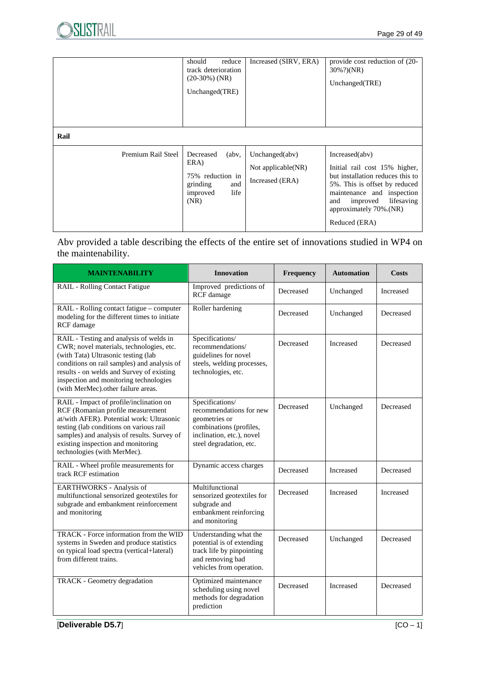|                    | should<br>reduce<br>track deterioration<br>$(20-30%)$ (NR)<br>Unchanged(TRE)                            | Increased (SIRV, ERA)                                      | provide cost reduction of (20-<br>30%?)(NR)<br>Unchanged(TRE)                                                                                                                                                                  |
|--------------------|---------------------------------------------------------------------------------------------------------|------------------------------------------------------------|--------------------------------------------------------------------------------------------------------------------------------------------------------------------------------------------------------------------------------|
| Rail               |                                                                                                         |                                                            |                                                                                                                                                                                                                                |
| Premium Rail Steel | $($ abv $\cdot$<br>Decreased<br>ERA)<br>75% reduction in<br>grinding<br>and<br>life<br>improved<br>(NR) | Unchanged $(abv)$<br>Not applicable(NR)<br>Increased (ERA) | Increase(dabv)<br>Initial rail cost 15% higher,<br>but installation reduces this to<br>5%. This is offset by reduced<br>maintenance and inspection<br>lifesaving<br>and<br>improved<br>approximately 70%.(NR)<br>Reduced (ERA) |

Abv provided a table describing the effects of the entire set of innovations studied in WP4 on the maintenability.

| <b>MAINTENABILITY</b>                                                                                                                                                                                                                                                                                  | <b>Innovation</b>                                                                                                                              | Frequency | <b>Automation</b> | <b>Costs</b> |
|--------------------------------------------------------------------------------------------------------------------------------------------------------------------------------------------------------------------------------------------------------------------------------------------------------|------------------------------------------------------------------------------------------------------------------------------------------------|-----------|-------------------|--------------|
| RAIL - Rolling Contact Fatigue                                                                                                                                                                                                                                                                         | Improved predictions of<br>RCF damage                                                                                                          | Decreased | Unchanged         | Increased    |
| RAIL - Rolling contact fatigue - computer<br>modeling for the different times to initiate<br>RCF damage                                                                                                                                                                                                | Roller hardening                                                                                                                               | Decreased | Unchanged         | Decreased    |
| RAIL - Testing and analysis of welds in<br>CWR; novel materials, technologies, etc.<br>(with Tata) Ultrasonic testing (lab<br>conditions on rail samples) and analysis of<br>results - on welds and Survey of existing<br>inspection and monitoring technologies<br>(with MerMec).other failure areas. | Specifications/<br>recommendations/<br>guidelines for novel<br>steels, welding processes,<br>technologies, etc.                                | Decreased | Increased         | Decreased    |
| RAIL - Impact of profile/inclination on<br>RCF (Romanian profile measurement<br>at/with AFER). Potential work: Ultrasonic<br>testing (lab conditions on various rail<br>samples) and analysis of results. Survey of<br>existing inspection and monitoring<br>technologies (with MerMec).               | Specifications/<br>recommendations for new<br>geometries or<br>combinations (profiles,<br>inclination, etc.), novel<br>steel degradation, etc. | Decreased | Unchanged         | Decreased    |
| RAIL - Wheel profile measurements for<br>track RCF estimation                                                                                                                                                                                                                                          | Dynamic access charges                                                                                                                         | Decreased | Increased         | Decreased    |
| EARTHWORKS - Analysis of<br>multifunctional sensorized geotextiles for<br>subgrade and embankment reinforcement<br>and monitoring                                                                                                                                                                      | Multifunctional<br>sensorized geotextiles for<br>subgrade and<br>embankment reinforcing<br>and monitoring                                      | Decreased | Increased         | Increased    |
| TRACK - Force information from the WID<br>systems in Sweden and produce statistics<br>on typical load spectra (vertical+lateral)<br>from different trains.                                                                                                                                             | Understanding what the<br>potential is of extending<br>track life by pinpointing<br>and removing bad<br>vehicles from operation.               | Decreased | Unchanged         | Decreased    |
| TRACK - Geometry degradation                                                                                                                                                                                                                                                                           | Optimized maintenance<br>scheduling using novel<br>methods for degradation<br>prediction                                                       | Decreased | <b>Increased</b>  | Decreased    |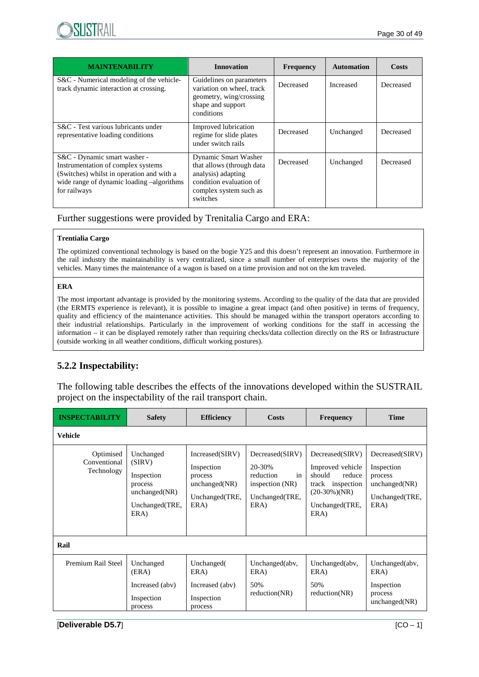

| <b>MAINTENABILITY</b>                                                                                                                                                        | <b>Innovation</b>                                                                                                                        | Frequency | <b>Automation</b> | Costs     |
|------------------------------------------------------------------------------------------------------------------------------------------------------------------------------|------------------------------------------------------------------------------------------------------------------------------------------|-----------|-------------------|-----------|
| S&C - Numerical modeling of the vehicle-<br>track dynamic interaction at crossing.                                                                                           | Guidelines on parameters<br>variation on wheel, track<br>geometry, wing/crossing<br>shape and support<br>conditions                      | Decreased | Increased         | Decreased |
| S&C - Test various lubricants under<br>representative loading conditions                                                                                                     | Improved lubrication<br>regime for slide plates<br>under switch rails                                                                    | Decreased | Unchanged         | Decreased |
| S&C - Dynamic smart washer -<br>Instrumentation of complex systems<br>(Switches) whilst in operation and with a<br>wide range of dynamic loading -algorithms<br>for railways | Dynamic Smart Washer<br>that allows (through data<br>analysis) adapting<br>condition evaluation of<br>complex system such as<br>switches | Decreased | Unchanged         | Decreased |

Further suggestions were provided by Trenitalia Cargo and ERA:

#### **Trentialia Cargo**

The optimized conventional technology is based on the bogie Y25 and this doesn't represent an innovation. Furthermore in the rail industry the maintainability is very centralized, since a small number of enterprises owns the majority of the vehicles. Many times the maintenance of a wagon is based on a time provision and not on the km traveled.

#### **ERA**

The most important advantage is provided by the monitoring systems. According to the quality of the data that are provided (the ERMTS experience is relevant), it is possible to imagine a great impact (and often positive) in terms of frequency, quality and efficiency of the maintenance activities. This should be managed within the transport operators according to their industrial relationships. Particularly in the improvement of working conditions for the staff in accessing the information – it can be displayed remotely rather than requiring checks/data collection directly on the RS or Infrastructure (outside working in all weather conditions, difficult working postures).

## **5.2.2 Inspectability:**

The following table describes the effects of the innovations developed within the SUSTRAIL project on the inspectability of the rail transport chain.

| <b>INSPECTABILITY</b>                   | <b>Safety</b>                                                                           | <b>Efficiency</b>                                                                   | Costs                                                                                     | <b>Frequency</b>                                                                                                          | <b>Time</b>                                                                         |
|-----------------------------------------|-----------------------------------------------------------------------------------------|-------------------------------------------------------------------------------------|-------------------------------------------------------------------------------------------|---------------------------------------------------------------------------------------------------------------------------|-------------------------------------------------------------------------------------|
| <b>Vehicle</b>                          |                                                                                         |                                                                                     |                                                                                           |                                                                                                                           |                                                                                     |
| Optimised<br>Conventional<br>Technology | Unchanged<br>(SIRV)<br>Inspection<br>process<br>unchanged(NR)<br>Unchanged(TRE,<br>ERA) | Increased(SIRV)<br>Inspection<br>process<br>unchanged(NR)<br>Unchanged(TRE,<br>ERA) | Decreased(SIRV)<br>20-30%<br>reduction<br>in<br>inspection (NR)<br>Unchanged(TRE,<br>ERA) | Decreased(SIRV)<br>Improved vehicle<br>should<br>reduce<br>track inspection<br>$(20-30\%)$ (NR)<br>Unchanged(TRE,<br>ERA) | Decreased(SIRV)<br>Inspection<br>process<br>unchanged(NR)<br>Unchanged(TRE,<br>ERA) |
| Rail                                    |                                                                                         |                                                                                     |                                                                                           |                                                                                                                           |                                                                                     |
| Premium Rail Steel                      | Unchanged<br>(ERA)<br>Increased (abv)<br>Inspection<br>process                          | Unchanged(<br>ERA)<br>Increased (abv)<br>Inspection<br>process                      | Unchanged(abv,<br>ERA)<br>50%<br>reduction(NR)                                            | Unchanged(abv,<br>ERA)<br>50%<br>reduction(NR)                                                                            | Unchanged(abv,<br>ERA)<br>Inspection<br>process<br>unchanged(NR)                    |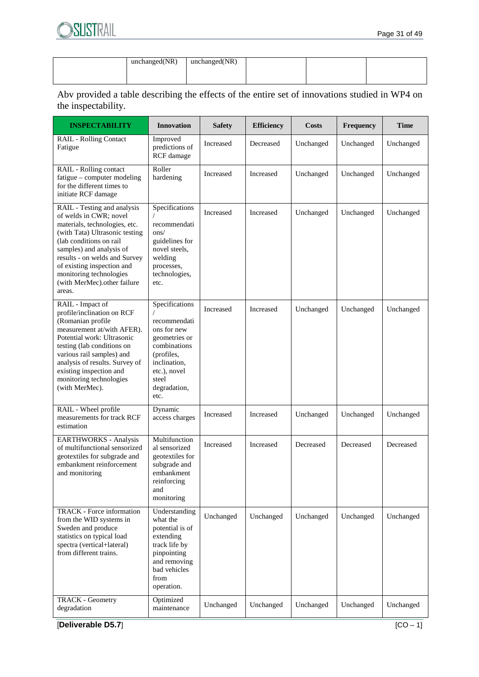| unchanged(NR) | unchanged(NR) |  |  |
|---------------|---------------|--|--|
|               |               |  |  |
|               |               |  |  |
|               |               |  |  |
|               |               |  |  |

Abv provided a table describing the effects of the entire set of innovations studied in WP4 on the inspectability.

| <b>INSPECTABILITY</b>                                                                                                                                                                                                                                                                                              | <b>Innovation</b>                                                                                                                                             | <b>Safety</b> | <b>Efficiency</b> | <b>Costs</b> | Frequency | <b>Time</b> |
|--------------------------------------------------------------------------------------------------------------------------------------------------------------------------------------------------------------------------------------------------------------------------------------------------------------------|---------------------------------------------------------------------------------------------------------------------------------------------------------------|---------------|-------------------|--------------|-----------|-------------|
| RAIL - Rolling Contact<br>Fatigue                                                                                                                                                                                                                                                                                  | Improved<br>predictions of<br>RCF damage                                                                                                                      | Increased     | Decreased         | Unchanged    | Unchanged | Unchanged   |
| RAIL - Rolling contact<br>fatigue - computer modeling<br>for the different times to<br>initiate RCF damage                                                                                                                                                                                                         | Roller<br>hardening                                                                                                                                           | Increased     | Increased         | Unchanged    | Unchanged | Unchanged   |
| RAIL - Testing and analysis<br>of welds in CWR; novel<br>materials, technologies, etc.<br>(with Tata) Ultrasonic testing<br>(lab conditions on rail<br>samples) and analysis of<br>results - on welds and Survey<br>of existing inspection and<br>monitoring technologies<br>(with MerMec).other failure<br>areas. | Specifications<br>recommendati<br>ons/<br>guidelines for<br>novel steels,<br>welding<br>processes,<br>technologies,<br>etc.                                   | Increased     | Increased         | Unchanged    | Unchanged | Unchanged   |
| RAIL - Impact of<br>profile/inclination on RCF<br>(Romanian profile<br>measurement at/with AFER).<br>Potential work: Ultrasonic<br>testing (lab conditions on<br>various rail samples) and<br>analysis of results. Survey of<br>existing inspection and<br>monitoring technologies<br>(with MerMec).               | Specifications<br>recommendati<br>ons for new<br>geometries or<br>combinations<br>(profiles,<br>inclination,<br>etc.), novel<br>steel<br>degradation,<br>etc. | Increased     | Increased         | Unchanged    | Unchanged | Unchanged   |
| RAIL - Wheel profile<br>measurements for track RCF<br>estimation                                                                                                                                                                                                                                                   | Dynamic<br>access charges                                                                                                                                     | Increased     | Increased         | Unchanged    | Unchanged | Unchanged   |
| <b>EARTHWORKS</b> - Analysis<br>of multifunctional sensorized<br>geotextiles for subgrade and<br>embankment reinforcement<br>and monitoring                                                                                                                                                                        | Multifunction<br>al sensorized<br>geotextiles for<br>subgrade and<br>embankment<br>reinforcing<br>and<br>monitoring                                           | Increased     | Increased         | Decreased    | Decreased | Decreased   |
| <b>TRACK</b> - Force information<br>from the WID systems in<br>Sweden and produce<br>statistics on typical load<br>spectra (vertical+lateral)<br>from different trains.                                                                                                                                            | Understanding<br>what the<br>potential is of<br>extending<br>track life by<br>pinpointing<br>and removing<br>bad vehicles<br>from<br>operation.               | Unchanged     | Unchanged         | Unchanged    | Unchanged | Unchanged   |
| <b>TRACK - Geometry</b><br>degradation                                                                                                                                                                                                                                                                             | Optimized<br>maintenance                                                                                                                                      | Unchanged     | Unchanged         | Unchanged    | Unchanged | Unchanged   |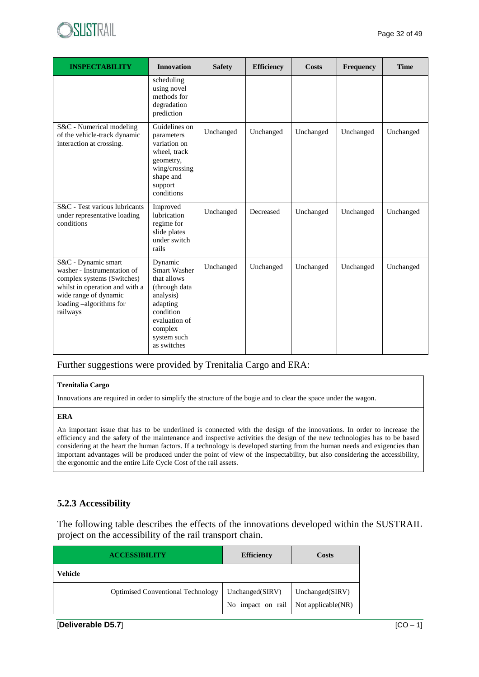

| <b>INSPECTABILITY</b>                                                                                                                                                              | <b>Innovation</b>                                                                                                                                       | <b>Safety</b> | <b>Efficiency</b> | <b>Costs</b> | Frequency | <b>Time</b> |
|------------------------------------------------------------------------------------------------------------------------------------------------------------------------------------|---------------------------------------------------------------------------------------------------------------------------------------------------------|---------------|-------------------|--------------|-----------|-------------|
|                                                                                                                                                                                    | scheduling<br>using novel<br>methods for<br>degradation<br>prediction                                                                                   |               |                   |              |           |             |
| S&C - Numerical modeling<br>of the vehicle-track dynamic<br>interaction at crossing.                                                                                               | Guidelines on<br>parameters<br>variation on<br>wheel, track<br>geometry,<br>wing/crossing<br>shape and<br>support<br>conditions                         | Unchanged     | Unchanged         | Unchanged    | Unchanged | Unchanged   |
| S&C - Test various lubricants<br>under representative loading<br>conditions                                                                                                        | Improved<br><b>lubrication</b><br>regime for<br>slide plates<br>under switch<br>rails                                                                   | Unchanged     | Decreased         | Unchanged    | Unchanged | Unchanged   |
| S&C - Dynamic smart<br>washer - Instrumentation of<br>complex systems (Switches)<br>whilst in operation and with a<br>wide range of dynamic<br>loading -algorithms for<br>railways | Dynamic<br>Smart Washer<br>that allows<br>(through data<br>analysis)<br>adapting<br>condition<br>evaluation of<br>complex<br>system such<br>as switches | Unchanged     | Unchanged         | Unchanged    | Unchanged | Unchanged   |

Further suggestions were provided by Trenitalia Cargo and ERA:

#### **Trenitalia Cargo**

Innovations are required in order to simplify the structure of the bogie and to clear the space under the wagon.

#### **ERA**

An important issue that has to be underlined is connected with the design of the innovations. In order to increase the efficiency and the safety of the maintenance and inspective activities the design of the new technologies has to be based considering at the heart the human factors. If a technology is developed starting from the human needs and exigencies than important advantages will be produced under the point of view of the inspectability, but also considering the accessibility, the ergonomic and the entire Life Cycle Cost of the rail assets.

#### **5.2.3 Accessibility**

The following table describes the effects of the innovations developed within the SUSTRAIL project on the accessibility of the rail transport chain.

| <b>ACCESSIBILITY</b>                     | <b>Efficiency</b>                                         | Costs           |  |
|------------------------------------------|-----------------------------------------------------------|-----------------|--|
| Vehicle                                  |                                                           |                 |  |
| <b>Optimised Conventional Technology</b> | Unchanged(SIRV)<br>No impact on rail   Not applicable(NR) | Unchanged(SIRV) |  |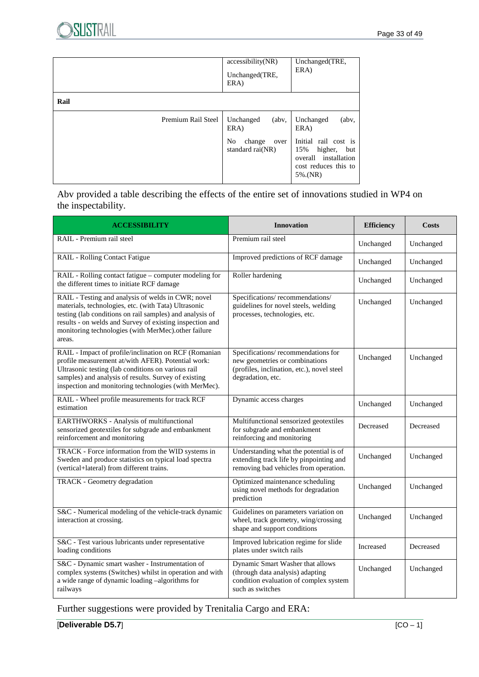|                    | accessibility(NR)<br>Unchanged(TRE,<br>ERA)                                    | Unchanged(TRE,<br>ERA)                                                                                                                           |
|--------------------|--------------------------------------------------------------------------------|--------------------------------------------------------------------------------------------------------------------------------------------------|
| Rail               |                                                                                |                                                                                                                                                  |
| Premium Rail Steel | Unchanged<br>(<br>ERA)<br>N <sub>0</sub><br>change<br>over<br>standard rai(NR) | Unchanged<br>$($ abv $\cdot$<br>ERA)<br>Initial rail cost is<br>15%<br>higher,<br>but<br>overall installation<br>cost reduces this to<br>5%.(NR) |

Abv provided a table describing the effects of the entire set of innovations studied in WP4 on the inspectability.

| <b>ACCESSIBILITY</b>                                                                                                                                                                                                                                                                                | <b>Innovation</b>                                                                                                                       | <b>Efficiency</b> | <b>Costs</b> |
|-----------------------------------------------------------------------------------------------------------------------------------------------------------------------------------------------------------------------------------------------------------------------------------------------------|-----------------------------------------------------------------------------------------------------------------------------------------|-------------------|--------------|
| RAIL - Premium rail steel                                                                                                                                                                                                                                                                           | Premium rail steel                                                                                                                      | Unchanged         | Unchanged    |
| <b>RAIL - Rolling Contact Fatigue</b>                                                                                                                                                                                                                                                               | Improved predictions of RCF damage                                                                                                      | Unchanged         | Unchanged    |
| RAIL - Rolling contact fatigue - computer modeling for<br>the different times to initiate RCF damage                                                                                                                                                                                                | Roller hardening                                                                                                                        | Unchanged         | Unchanged    |
| RAIL - Testing and analysis of welds in CWR; novel<br>materials, technologies, etc. (with Tata) Ultrasonic<br>testing (lab conditions on rail samples) and analysis of<br>results - on welds and Survey of existing inspection and<br>monitoring technologies (with MerMec).other failure<br>areas. | Specifications/recommendations/<br>guidelines for novel steels, welding<br>processes, technologies, etc.                                | Unchanged         | Unchanged    |
| RAIL - Impact of profile/inclination on RCF (Romanian<br>profile measurement at/with AFER). Potential work:<br>Ultrasonic testing (lab conditions on various rail<br>samples) and analysis of results. Survey of existing<br>inspection and monitoring technologies (with MerMec).                  | Specifications/recommendations for<br>new geometries or combinations<br>(profiles, inclination, etc.), novel steel<br>degradation, etc. | Unchanged         | Unchanged    |
| RAIL - Wheel profile measurements for track RCF<br>estimation                                                                                                                                                                                                                                       | Dynamic access charges                                                                                                                  | Unchanged         | Unchanged    |
| EARTHWORKS - Analysis of multifunctional<br>sensorized geotextiles for subgrade and embankment<br>reinforcement and monitoring                                                                                                                                                                      | Multifunctional sensorized geotextiles<br>for subgrade and embankment<br>reinforcing and monitoring                                     | Decreased         | Decreased    |
| TRACK - Force information from the WID systems in<br>Sweden and produce statistics on typical load spectra<br>(vertical+lateral) from different trains.                                                                                                                                             | Understanding what the potential is of<br>extending track life by pinpointing and<br>removing bad vehicles from operation.              | Unchanged         | Unchanged    |
| TRACK - Geometry degradation                                                                                                                                                                                                                                                                        | Optimized maintenance scheduling<br>using novel methods for degradation<br>prediction                                                   | Unchanged         | Unchanged    |
| S&C - Numerical modeling of the vehicle-track dynamic<br>interaction at crossing.                                                                                                                                                                                                                   | Guidelines on parameters variation on<br>wheel, track geometry, wing/crossing<br>shape and support conditions                           | Unchanged         | Unchanged    |
| S&C - Test various lubricants under representative<br>loading conditions                                                                                                                                                                                                                            | Improved lubrication regime for slide<br>plates under switch rails                                                                      | Increased         | Decreased    |
| S&C - Dynamic smart washer - Instrumentation of<br>complex systems (Switches) whilst in operation and with<br>a wide range of dynamic loading -algorithms for<br>railways                                                                                                                           | Dynamic Smart Washer that allows<br>(through data analysis) adapting<br>condition evaluation of complex system<br>such as switches      | Unchanged         | Unchanged    |

Further suggestions were provided by Trenitalia Cargo and ERA: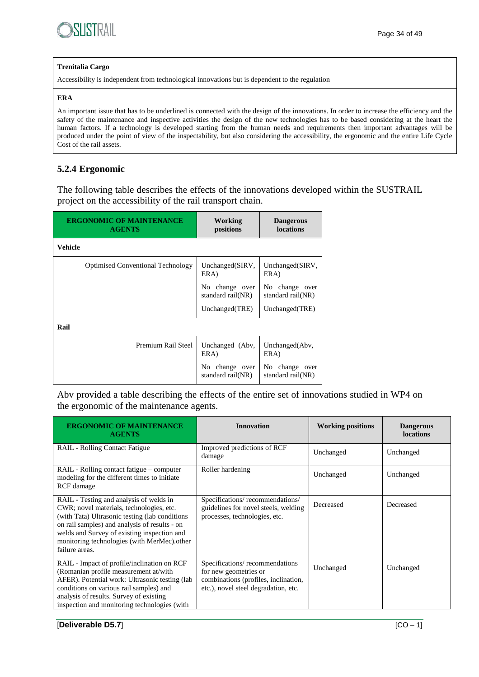

#### **Trenitalia Cargo**

Accessibility is independent from technological innovations but is dependent to the regulation

#### **ERA**

An important issue that has to be underlined is connected with the design of the innovations. In order to increase the efficiency and the safety of the maintenance and inspective activities the design of the new technologies has to be based considering at the heart the human factors. If a technology is developed starting from the human needs and requirements then important advantages will be produced under the point of view of the inspectability, but also considering the accessibility, the ergonomic and the entire Life Cycle Cost of the rail assets.

## **5.2.4 Ergonomic**

The following table describes the effects of the innovations developed within the SUSTRAIL project on the accessibility of the rail transport chain.

| <b>ERGONOMIC OF MAINTENANCE</b><br><b>AGENTS</b> | Working<br>positions                | <b>Dangerous</b><br>locations       |  |
|--------------------------------------------------|-------------------------------------|-------------------------------------|--|
| <b>Vehicle</b>                                   |                                     |                                     |  |
| <b>Optimised Conventional Technology</b>         | Unchanged(SIRV,<br>ERA)             | Unchanged(SIRV,<br>ERA)             |  |
|                                                  | No change over<br>standard rail(NR) | No change over<br>standard rail(NR) |  |
|                                                  | Unchanged(TRE)                      | Unchanged(TRE)                      |  |
| Rail                                             |                                     |                                     |  |
| Premium Rail Steel                               | Unchanged (Abv,<br>ERA)             | Unchanged(Abv,<br>ERA)              |  |
|                                                  | No change over<br>standard rail(NR) | No change over<br>standard rail(NR) |  |

Abv provided a table describing the effects of the entire set of innovations studied in WP4 on the ergonomic of the maintenance agents.

| <b>ERGONOMIC OF MAINTENANCE</b><br><b>AGENTS</b>                                                                                                                                                                                                                                                       | <b>Innovation</b>                                                                                                                       | <b>Working positions</b> | <b>Dangerous</b><br>locations |
|--------------------------------------------------------------------------------------------------------------------------------------------------------------------------------------------------------------------------------------------------------------------------------------------------------|-----------------------------------------------------------------------------------------------------------------------------------------|--------------------------|-------------------------------|
| <b>RAIL</b> - Rolling Contact Fatigue                                                                                                                                                                                                                                                                  | Improved predictions of RCF<br>damage                                                                                                   | Unchanged                | Unchanged                     |
| RAIL - Rolling contact fatigue – computer<br>modeling for the different times to initiate<br>RCF damage                                                                                                                                                                                                | Roller hardening                                                                                                                        | Unchanged                | Unchanged                     |
| RAIL - Testing and analysis of welds in<br>CWR; novel materials, technologies, etc.<br>(with Tata) Ultrasonic testing (lab conditions<br>on rail samples) and analysis of results - on<br>welds and Survey of existing inspection and<br>monitoring technologies (with MerMec).other<br>failure areas. | Specifications/recommendations/<br>guidelines for novel steels, welding<br>processes, technologies, etc.                                | Decreased                | Decreased                     |
| RAIL - Impact of profile/inclination on RCF<br>(Romanian profile measurement at/with<br>AFER). Potential work: Ultrasonic testing (lab)<br>conditions on various rail samples) and<br>analysis of results. Survey of existing<br>inspection and monitoring technologies (with                          | Specifications/recommendations<br>for new geometries or<br>combinations (profiles, inclination,<br>etc.), novel steel degradation, etc. | Unchanged                | Unchanged                     |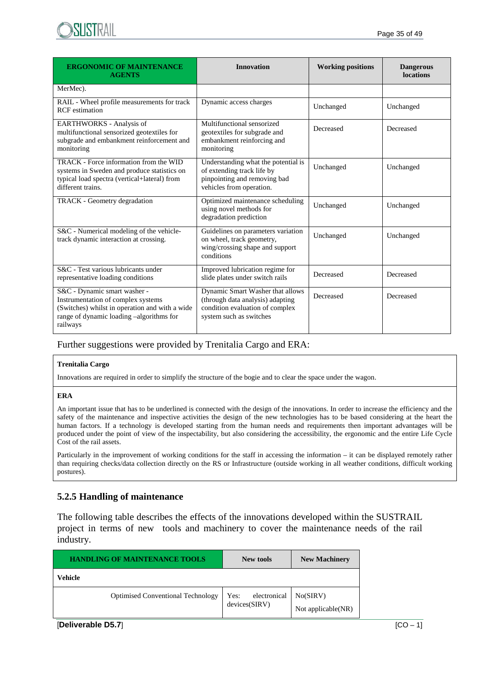

| <b>ERGONOMIC OF MAINTENANCE</b><br><b>AGENTS</b>                                                                                                                             | <b>Innovation</b>                                                                                                                  | <b>Working positions</b> | <b>Dangerous</b><br><b>locations</b> |
|------------------------------------------------------------------------------------------------------------------------------------------------------------------------------|------------------------------------------------------------------------------------------------------------------------------------|--------------------------|--------------------------------------|
| MerMec).                                                                                                                                                                     |                                                                                                                                    |                          |                                      |
| RAIL - Wheel profile measurements for track<br><b>RCF</b> estimation                                                                                                         | Dynamic access charges                                                                                                             | Unchanged                | Unchanged                            |
| <b>EARTHWORKS</b> - Analysis of<br>multifunctional sensorized geotextiles for<br>subgrade and embankment reinforcement and<br>monitoring                                     | Multifunctional sensorized<br>geotextiles for subgrade and<br>embankment reinforcing and<br>monitoring                             | Decreased                | Decreased                            |
| TRACK - Force information from the WID<br>systems in Sweden and produce statistics on<br>typical load spectra (vertical+lateral) from<br>different trains.                   | Understanding what the potential is<br>of extending track life by<br>pinpointing and removing bad<br>vehicles from operation.      | Unchanged                | Unchanged                            |
| TRACK - Geometry degradation                                                                                                                                                 | Optimized maintenance scheduling<br>using novel methods for<br>degradation prediction                                              | Unchanged                | Unchanged                            |
| S&C - Numerical modeling of the vehicle-<br>track dynamic interaction at crossing.                                                                                           | Guidelines on parameters variation<br>on wheel, track geometry,<br>wing/crossing shape and support<br>conditions                   | Unchanged                | Unchanged                            |
| S&C - Test various lubricants under<br>representative loading conditions                                                                                                     | Improved lubrication regime for<br>slide plates under switch rails                                                                 | Decreased                | Decreased                            |
| S&C - Dynamic smart washer -<br>Instrumentation of complex systems<br>(Switches) whilst in operation and with a wide<br>range of dynamic loading -algorithms for<br>railways | Dynamic Smart Washer that allows<br>(through data analysis) adapting<br>condition evaluation of complex<br>system such as switches | Decreased                | Decreased                            |

#### Further suggestions were provided by Trenitalia Cargo and ERA:

#### **Trenitalia Cargo**

Innovations are required in order to simplify the structure of the bogie and to clear the space under the wagon.

#### **ERA**

An important issue that has to be underlined is connected with the design of the innovations. In order to increase the efficiency and the safety of the maintenance and inspective activities the design of the new technologies has to be based considering at the heart the human factors. If a technology is developed starting from the human needs and requirements then important advantages will be produced under the point of view of the inspectability, but also considering the accessibility, the ergonomic and the entire Life Cycle Cost of the rail assets.

Particularly in the improvement of working conditions for the staff in accessing the information – it can be displayed remotely rather than requiring checks/data collection directly on the RS or Infrastructure (outside working in all weather conditions, difficult working postures).

#### **5.2.5 Handling of maintenance**

The following table describes the effects of the innovations developed within the SUSTRAIL project in terms of new tools and machinery to cover the maintenance needs of the rail industry.

| <b>HANDLING OF MAINTENANCE TOOLS</b>     | New tools                             | <b>New Machinery</b>           |
|------------------------------------------|---------------------------------------|--------------------------------|
| Vehicle                                  |                                       |                                |
| <b>Optimised Conventional Technology</b> | electronical<br>Yes:<br>devices(SIRV) | No(SIRV)<br>Not applicable(NR) |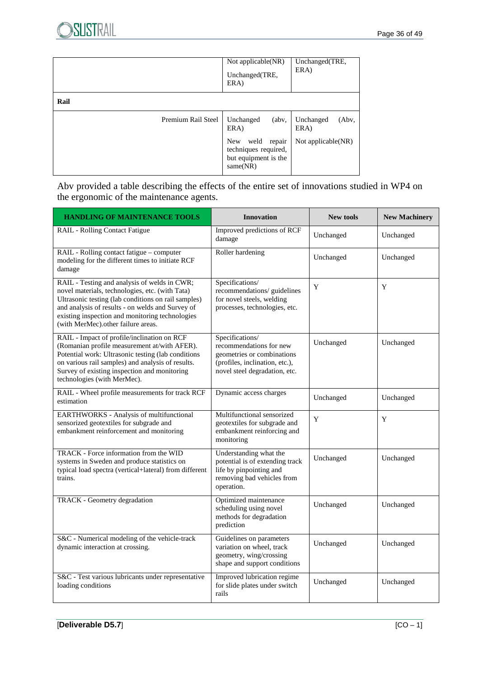|                    | Not applicable(NR)<br>Unchanged(TRE,<br>ERA)                                             | Unchanged(TRE,<br>ERA)     |
|--------------------|------------------------------------------------------------------------------------------|----------------------------|
| Rail               |                                                                                          |                            |
| Premium Rail Steel | Unchanged<br>$($ abv,<br>ERA)                                                            | Unchanged<br>(Abv.<br>ERA) |
|                    | repair<br><b>New</b><br>weld<br>techniques required,<br>but equipment is the<br>same(NR) | Not applicable(NR)         |

## Abv provided a table describing the effects of the entire set of innovations studied in WP4 on the ergonomic of the maintenance agents.

| <b>HANDLING OF MAINTENANCE TOOLS</b>                                                                                                                                                                                                                                                                | <b>Innovation</b>                                                                                                                           | <b>New tools</b> | <b>New Machinery</b> |
|-----------------------------------------------------------------------------------------------------------------------------------------------------------------------------------------------------------------------------------------------------------------------------------------------------|---------------------------------------------------------------------------------------------------------------------------------------------|------------------|----------------------|
| RAIL - Rolling Contact Fatigue                                                                                                                                                                                                                                                                      | Improved predictions of RCF<br>damage                                                                                                       | Unchanged        | Unchanged            |
| RAIL - Rolling contact fatigue - computer<br>modeling for the different times to initiate RCF<br>damage                                                                                                                                                                                             | Roller hardening                                                                                                                            | Unchanged        | Unchanged            |
| RAIL - Testing and analysis of welds in CWR;<br>novel materials, technologies, etc. (with Tata)<br>Ultrasonic testing (lab conditions on rail samples)<br>and analysis of results - on welds and Survey of<br>existing inspection and monitoring technologies<br>(with MerMec).other failure areas. | Specifications/<br>recommendations/ guidelines<br>for novel steels, welding<br>processes, technologies, etc.                                | Y                | Y                    |
| RAIL - Impact of profile/inclination on RCF<br>(Romanian profile measurement at/with AFER).<br>Potential work: Ultrasonic testing (lab conditions<br>on various rail samples) and analysis of results.<br>Survey of existing inspection and monitoring<br>technologies (with MerMec).               | Specifications/<br>recommendations for new<br>geometries or combinations<br>(profiles, inclination, etc.),<br>novel steel degradation, etc. | Unchanged        | Unchanged            |
| RAIL - Wheel profile measurements for track RCF<br>estimation                                                                                                                                                                                                                                       | Dynamic access charges                                                                                                                      | Unchanged        | Unchanged            |
| <b>EARTHWORKS</b> - Analysis of multifunctional<br>sensorized geotextiles for subgrade and<br>embankment reinforcement and monitoring                                                                                                                                                               | Multifunctional sensorized<br>geotextiles for subgrade and<br>embankment reinforcing and<br>monitoring                                      | Y                | Y                    |
| <b>TRACK</b> - Force information from the WID<br>systems in Sweden and produce statistics on<br>typical load spectra (vertical+lateral) from different<br>trains.                                                                                                                                   | Understanding what the<br>potential is of extending track<br>life by pinpointing and<br>removing bad vehicles from<br>operation.            | Unchanged        | Unchanged            |
| TRACK - Geometry degradation                                                                                                                                                                                                                                                                        | Optimized maintenance<br>scheduling using novel<br>methods for degradation<br>prediction                                                    | Unchanged        | Unchanged            |
| S&C - Numerical modeling of the vehicle-track<br>dynamic interaction at crossing.                                                                                                                                                                                                                   | Guidelines on parameters<br>variation on wheel, track<br>geometry, wing/crossing<br>shape and support conditions                            | Unchanged        | Unchanged            |
| S&C - Test various lubricants under representative<br>loading conditions                                                                                                                                                                                                                            | Improved lubrication regime<br>for slide plates under switch<br>rails                                                                       | Unchanged        | Unchanged            |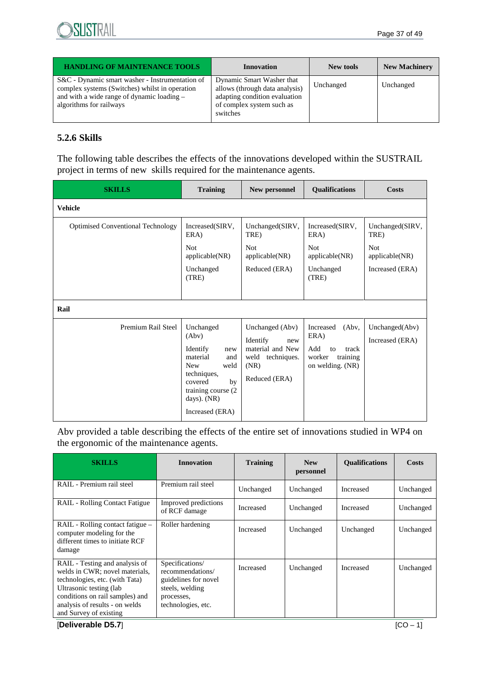| <b>HANDLING OF MAINTENANCE TOOLS</b>                                                                                                                                       | Innovation                                                                                                                            | New tools | <b>New Machinery</b> |
|----------------------------------------------------------------------------------------------------------------------------------------------------------------------------|---------------------------------------------------------------------------------------------------------------------------------------|-----------|----------------------|
| S&C - Dynamic smart washer - Instrumentation of<br>complex systems (Switches) whilst in operation<br>and with a wide range of dynamic loading -<br>algorithms for railways | Dynamic Smart Washer that<br>allows (through data analysis)<br>adapting condition evaluation<br>of complex system such as<br>switches | Unchanged | Unchanged            |

## **5.2.6 Skills**

The following table describes the effects of the innovations developed within the SUSTRAIL project in terms of new skills required for the maintenance agents.

| <b>SKILLS</b>                            | <b>Training</b>                                                                                                                                                           | New personnel                                                                                          | <b>Qualifications</b>                                                                      | Costs                                                                      |
|------------------------------------------|---------------------------------------------------------------------------------------------------------------------------------------------------------------------------|--------------------------------------------------------------------------------------------------------|--------------------------------------------------------------------------------------------|----------------------------------------------------------------------------|
| <b>Vehicle</b>                           |                                                                                                                                                                           |                                                                                                        |                                                                                            |                                                                            |
| <b>Optimised Conventional Technology</b> | Increased(SIRV,<br>ERA)<br><b>Not</b><br>applicable(NR)<br>Unchanged<br>(TRE)                                                                                             | Unchanged(SIRV,<br>TRE)<br><b>Not</b><br>applicable(NR)<br>Reduced (ERA)                               | Increased(SIRV,<br>ERA)<br><b>Not</b><br>applicable(NR)<br>Unchanged<br>(TRE)              | Unchanged(SIRV,<br>TRE)<br><b>Not</b><br>applicable(NR)<br>Increased (ERA) |
| Rail                                     |                                                                                                                                                                           |                                                                                                        |                                                                                            |                                                                            |
| Premium Rail Steel                       | Unchanged<br>(Abv)<br>Identify<br>new<br>material<br>and<br><b>New</b><br>weld<br>techniques,<br>covered<br>by<br>training course (2)<br>days). $(NR)$<br>Increased (ERA) | Unchanged (Abv)<br>Identify<br>new<br>material and New<br>weld<br>techniques.<br>(NR)<br>Reduced (ERA) | (Abv,<br>Increased<br>ERA)<br>Add<br>track<br>to<br>worker<br>training<br>on welding. (NR) | Unchanged(Abv)<br>Increased (ERA)                                          |

Abv provided a table describing the effects of the entire set of innovations studied in WP4 on the ergonomic of the maintenance agents.

| <b>SKILLS</b>                                                                                                                                                                                                                 | <b>Innovation</b>                                                                                                  | <b>Training</b>  | <b>New</b><br>personnel | <b>Qualifications</b> | Costs      |
|-------------------------------------------------------------------------------------------------------------------------------------------------------------------------------------------------------------------------------|--------------------------------------------------------------------------------------------------------------------|------------------|-------------------------|-----------------------|------------|
| RAIL - Premium rail steel                                                                                                                                                                                                     | Premium rail steel                                                                                                 | Unchanged        | Unchanged               | <b>Increased</b>      | Unchanged  |
| <b>RAIL - Rolling Contact Fatigue</b>                                                                                                                                                                                         | Improved predictions<br>of RCF damage                                                                              | Increased        | Unchanged               | Increased             | Unchanged  |
| RAIL - Rolling contact fatigue –<br>computer modeling for the<br>different times to initiate RCF<br>damage                                                                                                                    | Roller hardening                                                                                                   | <b>Increased</b> | Unchanged               | Unchanged             | Unchanged  |
| RAIL - Testing and analysis of<br>welds in CWR; novel materials,<br>technologies, etc. (with Tata)<br>Ultrasonic testing (lab)<br>conditions on rail samples) and<br>analysis of results - on welds<br>and Survey of existing | Specifications/<br>recommendations/<br>guidelines for novel<br>steels, welding<br>processes,<br>technologies, etc. | Increased        | Unchanged               | Increased             | Unchanged  |
| [Deliverable D5.7]                                                                                                                                                                                                            |                                                                                                                    |                  |                         |                       | $ICO - 11$ |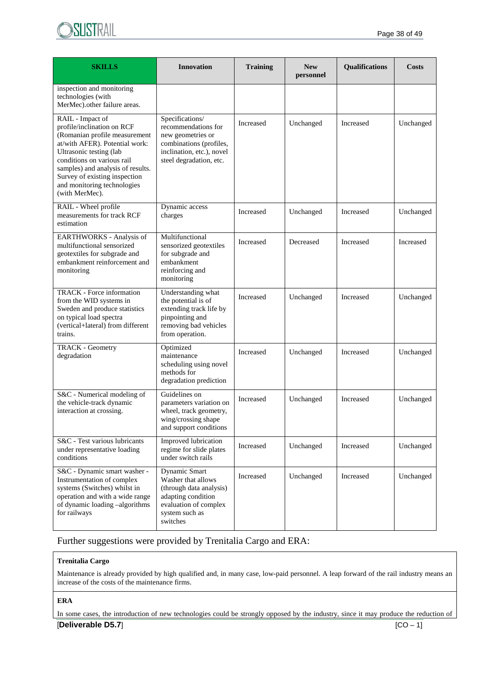

| <b>SKILLS</b>                                                                                                                                                                                                                                                                                     | <b>Innovation</b>                                                                                                                              | <b>Training</b><br><b>New</b><br>personnel |           | Qualifications | Costs     |
|---------------------------------------------------------------------------------------------------------------------------------------------------------------------------------------------------------------------------------------------------------------------------------------------------|------------------------------------------------------------------------------------------------------------------------------------------------|--------------------------------------------|-----------|----------------|-----------|
| inspection and monitoring<br>technologies (with<br>MerMec).other failure areas.                                                                                                                                                                                                                   |                                                                                                                                                |                                            |           |                |           |
| RAIL - Impact of<br>profile/inclination on RCF<br>(Romanian profile measurement<br>at/with AFER). Potential work:<br>Ultrasonic testing (lab<br>conditions on various rail<br>samples) and analysis of results.<br>Survey of existing inspection<br>and monitoring technologies<br>(with MerMec). | Specifications/<br>recommendations for<br>new geometries or<br>combinations (profiles,<br>inclination, etc.), novel<br>steel degradation, etc. | Increased                                  | Unchanged | Increased      | Unchanged |
| RAIL - Wheel profile<br>measurements for track RCF<br>estimation                                                                                                                                                                                                                                  | Dynamic access<br>charges                                                                                                                      | Increased                                  | Unchanged | Increased      | Unchanged |
| EARTHWORKS - Analysis of<br>multifunctional sensorized<br>geotextiles for subgrade and<br>embankment reinforcement and<br>monitoring                                                                                                                                                              | Multifunctional<br>sensorized geotextiles<br>for subgrade and<br>embankment<br>reinforcing and<br>monitoring                                   | Increased                                  | Decreased | Increased      | Increased |
| TRACK - Force information<br>from the WID systems in<br>Sweden and produce statistics<br>on typical load spectra<br>(vertical+lateral) from different<br>trains.                                                                                                                                  | Understanding what<br>the potential is of<br>extending track life by<br>pinpointing and<br>removing bad vehicles<br>from operation.            | Increased                                  | Unchanged | Increased      | Unchanged |
| <b>TRACK - Geometry</b><br>degradation                                                                                                                                                                                                                                                            | Optimized<br>maintenance<br>scheduling using novel<br>methods for<br>degradation prediction                                                    | Increased                                  | Unchanged | Increased      | Unchanged |
| Guidelines on<br>S&C - Numerical modeling of<br>the vehicle-track dynamic<br>parameters variation on<br>interaction at crossing.<br>wheel, track geometry,<br>wing/crossing shape<br>and support conditions                                                                                       |                                                                                                                                                | Increased                                  | Unchanged | Increased      | Unchanged |
| S&C - Test various lubricants<br>under representative loading<br>conditions                                                                                                                                                                                                                       | Improved lubrication<br>regime for slide plates<br>under switch rails                                                                          | Increased                                  | Unchanged | Increased      | Unchanged |
| S&C - Dynamic smart washer -<br>Instrumentation of complex<br>systems (Switches) whilst in<br>operation and with a wide range<br>of dynamic loading -algorithms<br>for railways                                                                                                                   | Dynamic Smart<br>Washer that allows<br>(through data analysis)<br>adapting condition<br>evaluation of complex<br>system such as<br>switches    | Increased                                  | Unchanged | Increased      | Unchanged |

## Further suggestions were provided by Trenitalia Cargo and ERA:

#### **Trenitalia Cargo**

Maintenance is already provided by high qualified and, in many case, low-paid personnel. A leap forward of the rail industry means an increase of the costs of the maintenance firms.

#### **ERA**

[**Deliverable D5.7**] [CO – 1] In some cases, the introduction of new technologies could be strongly opposed by the industry, since it may produce the reduction of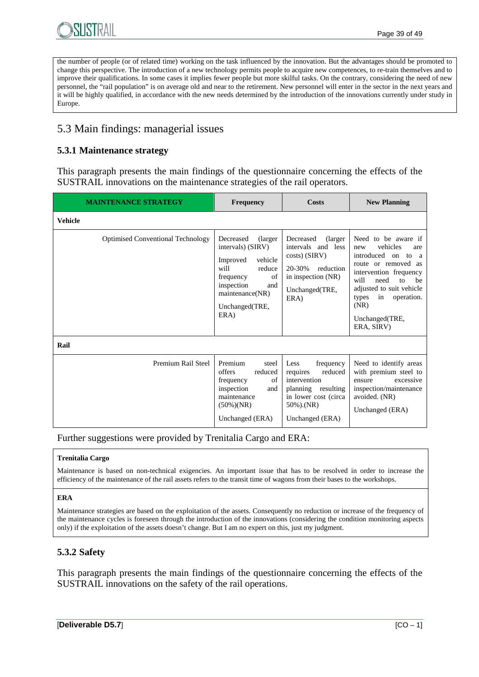

the number of people (or of related time) working on the task influenced by the innovation. But the advantages should be promoted to change this perspective. The introduction of a new technology permits people to acquire new competences, to re-train themselves and to improve their qualifications. In some cases it implies fewer people but more skilful tasks. On the contrary, considering the need of new personnel, the "rail population" is on average old and near to the retirement. New personnel will enter in the sector in the next years and it will be highly qualified, in accordance with the new needs determined by the introduction of the innovations currently under study in Europe.

## 5.3 Main findings: managerial issues

## **5.3.1 Maintenance strategy**

This paragraph presents the main findings of the questionnaire concerning the effects of the SUSTRAIL innovations on the maintenance strategies of the rail operators.

| <b>MAINTENANCE STRATEGY</b>              | <b>Frequency</b>                                                                                                                                                         | Costs                                                                                                                                  | <b>New Planning</b>                                                                                                                                                                                                                                  |  |
|------------------------------------------|--------------------------------------------------------------------------------------------------------------------------------------------------------------------------|----------------------------------------------------------------------------------------------------------------------------------------|------------------------------------------------------------------------------------------------------------------------------------------------------------------------------------------------------------------------------------------------------|--|
| <b>Vehicle</b>                           |                                                                                                                                                                          |                                                                                                                                        |                                                                                                                                                                                                                                                      |  |
| <b>Optimised Conventional Technology</b> | Decreased<br>(larger)<br>intervals) (SIRV)<br>Improved<br>vehicle<br>will<br>reduce<br>frequency<br>of<br>inspection<br>and<br>maintenance(NR)<br>Unchanged(TRE,<br>ERA) | Decreased<br>(larger)<br>intervals and less<br>costs) (SIRV)<br>20-30%<br>reduction<br>in inspection (NR)<br>Unchanged(TRE,<br>ERA)    | Need to be aware if<br>vehicles<br>new<br>are<br>introduced on to<br>a<br>route or removed as<br>intervention frequency<br>will<br>need<br>to<br>he<br>adjusted to suit vehicle<br>in<br>operation.<br>types<br>(NR)<br>Unchanged(TRE,<br>ERA, SIRV) |  |
| Rail                                     |                                                                                                                                                                          |                                                                                                                                        |                                                                                                                                                                                                                                                      |  |
| Premium Rail Steel                       | Premium<br>steel<br>offers<br>reduced<br>frequency<br>of<br>inspection<br>and<br>maintenance<br>$(50\%)(NR)$<br>Unchanged (ERA)                                          | Less<br>frequency<br>reduced<br>requires<br>intervention<br>planning resulting<br>in lower cost (circa<br>50%).(NR)<br>Unchanged (ERA) | Need to identify areas<br>with premium steel to<br>excessive<br>ensure<br>inspection/maintenance<br>avoided. (NR)<br>Unchanged (ERA)                                                                                                                 |  |

Further suggestions were provided by Trenitalia Cargo and ERA:

#### **Trenitalia Cargo**

Maintenance is based on non-technical exigencies. An important issue that has to be resolved in order to increase the efficiency of the maintenance of the rail assets refers to the transit time of wagons from their bases to the workshops.

#### **ERA**

Maintenance strategies are based on the exploitation of the assets. Consequently no reduction or increase of the frequency of the maintenance cycles is foreseen through the introduction of the innovations (considering the condition monitoring aspects only) if the exploitation of the assets doesn't change. But I am no expert on this, just my judgment.

## **5.3.2 Safety**

This paragraph presents the main findings of the questionnaire concerning the effects of the SUSTRAIL innovations on the safety of the rail operations.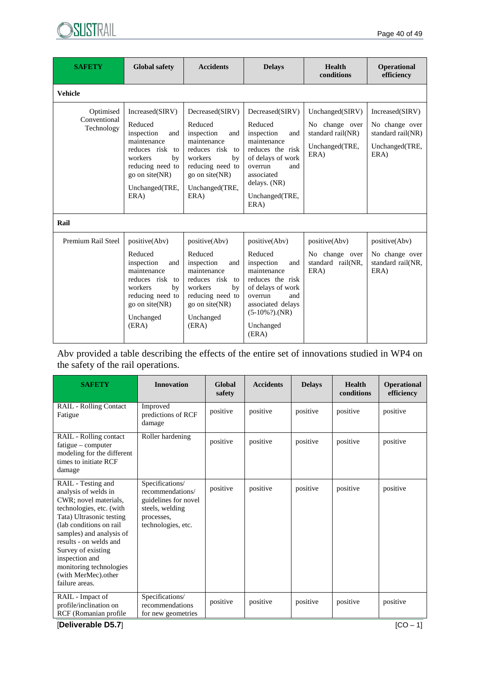

| <b>SAFETY</b>                                   | <b>Global safety</b>                                                                                                                                               | <b>Accidents</b>                                                                                                                                                   | <b>Delays</b>                                                                                                                                                                     | Health<br>conditions                                                             | <b>Operational</b><br>efficiency                                                 |
|-------------------------------------------------|--------------------------------------------------------------------------------------------------------------------------------------------------------------------|--------------------------------------------------------------------------------------------------------------------------------------------------------------------|-----------------------------------------------------------------------------------------------------------------------------------------------------------------------------------|----------------------------------------------------------------------------------|----------------------------------------------------------------------------------|
| <b>Vehicle</b>                                  |                                                                                                                                                                    |                                                                                                                                                                    |                                                                                                                                                                                   |                                                                                  |                                                                                  |
| Optimised<br>Conventional<br>Technology<br>Rail | Increased(SIRV)<br>Reduced<br>inspection<br>and<br>maintenance<br>reduces risk to<br>workers<br>by<br>reducing need to<br>go on site(NR)<br>Unchanged(TRE,<br>ERA) | Decreased(SIRV)<br>Reduced<br>inspection<br>and<br>maintenance<br>reduces risk to<br>workers<br>by<br>reducing need to<br>go on site(NR)<br>Unchanged(TRE,<br>ERA) | Decreased(SIRV)<br>Reduced<br>inspection<br>and<br>maintenance<br>reduces the risk<br>of delays of work<br>overrun<br>and<br>associated<br>delays. (NR)<br>Unchanged(TRE,<br>ERA) | Unchanged(SIRV)<br>No change over<br>standard rail(NR)<br>Unchanged(TRE,<br>ERA) | Increased(SIRV)<br>No change over<br>standard rail(NR)<br>Unchanged(TRE,<br>ERA) |
| Premium Rail Steel                              | positive(Abv)                                                                                                                                                      | positive(Abv)                                                                                                                                                      | positive(Abv)                                                                                                                                                                     | positive(Abv)                                                                    | positive(Abv)                                                                    |
|                                                 | Reduced<br>inspection<br>and<br>maintenance<br>reduces risk to<br>workers<br>by<br>reducing need to<br>go on site(NR)<br>Unchanged<br>(ERA)                        | Reduced<br>inspection<br>and<br>maintenance<br>reduces risk to<br>workers<br>by<br>reducing need to<br>go on site(NR)<br>Unchanged<br>(ERA)                        | Reduced<br>inspection<br>and<br>maintenance<br>reduces the risk<br>of delays of work<br>and<br>overrun<br>associated delays<br>$(5-10\%)$ .(NR)<br>Unchanged<br>(ERA)             | No change over<br>standard rail(NR,<br>ERA)                                      | No change over<br>standard rail(NR,<br>ERA)                                      |

Abv provided a table describing the effects of the entire set of innovations studied in WP4 on the safety of the rail operations.

| <b>SAFETY</b>                                                                                                                                                                                                                                                                                                             | <b>Innovation</b>                                                                                                  | Global<br>safety | <b>Accidents</b> | <b>Delays</b> | <b>Health</b><br>conditions | <b>Operational</b><br>efficiency |
|---------------------------------------------------------------------------------------------------------------------------------------------------------------------------------------------------------------------------------------------------------------------------------------------------------------------------|--------------------------------------------------------------------------------------------------------------------|------------------|------------------|---------------|-----------------------------|----------------------------------|
| RAIL - Rolling Contact<br>Fatigue                                                                                                                                                                                                                                                                                         | Improved<br>predictions of RCF<br>damage                                                                           | positive         | positive         | positive      | positive                    | positive                         |
| RAIL - Rolling contact<br>fatigue – computer<br>modeling for the different<br>times to initiate RCF<br>damage                                                                                                                                                                                                             | Roller hardening                                                                                                   | positive         | positive         | positive      | positive                    | positive                         |
| RAIL - Testing and<br>analysis of welds in<br>CWR; novel materials,<br>technologies, etc. (with<br>Tata) Ultrasonic testing<br>(lab conditions on rail)<br>samples) and analysis of<br>results - on welds and<br>Survey of existing<br>inspection and<br>monitoring technologies<br>(with MerMec).other<br>failure areas. | Specifications/<br>recommendations/<br>guidelines for novel<br>steels, welding<br>processes,<br>technologies, etc. | positive         | positive         | positive      | positive                    | positive                         |
| RAIL - Impact of<br>profile/inclination on<br>RCF (Romanian profile)                                                                                                                                                                                                                                                      | Specifications/<br>recommendations<br>for new geometries                                                           | positive         | positive         | positive      | positive                    | positive                         |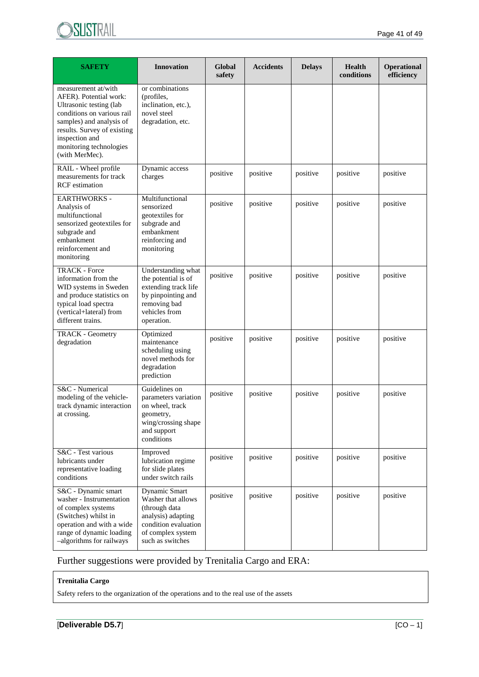

| <b>SAFETY</b>                                                                                                                                                                                                                    | <b>Innovation</b>                                                                                                                           | Global<br>safety | <b>Accidents</b> | <b>Delays</b> | <b>Health</b><br>conditions | <b>Operational</b><br>efficiency |  |
|----------------------------------------------------------------------------------------------------------------------------------------------------------------------------------------------------------------------------------|---------------------------------------------------------------------------------------------------------------------------------------------|------------------|------------------|---------------|-----------------------------|----------------------------------|--|
| measurement at/with<br>AFER). Potential work:<br>Ultrasonic testing (lab<br>conditions on various rail<br>samples) and analysis of<br>results. Survey of existing<br>inspection and<br>monitoring technologies<br>(with MerMec). | or combinations<br>(profiles,<br>inclination, etc.),<br>novel steel<br>degradation, etc.                                                    |                  |                  |               |                             |                                  |  |
| RAIL - Wheel profile<br>measurements for track<br><b>RCF</b> estimation                                                                                                                                                          | Dynamic access<br>charges                                                                                                                   | positive         | positive         | positive      | positive                    | positive                         |  |
| <b>EARTHWORKS -</b><br>Analysis of<br>multifunctional<br>sensorized geotextiles for<br>subgrade and<br>embankment<br>reinforcement and<br>monitoring                                                                             | Multifunctional<br>sensorized<br>geotextiles for<br>subgrade and<br>embankment<br>reinforcing and<br>monitoring                             | positive         | positive         | positive      | positive                    | positive                         |  |
| <b>TRACK - Force</b><br>information from the<br>WID systems in Sweden<br>and produce statistics on<br>typical load spectra<br>(vertical+lateral) from<br>different trains.                                                       | Understanding what<br>the potential is of<br>extending track life<br>by pinpointing and<br>removing bad<br>vehicles from<br>operation.      | positive         | positive         | positive      | positive                    | positive                         |  |
| TRACK - Geometry<br>degradation                                                                                                                                                                                                  | Optimized<br>maintenance<br>scheduling using<br>novel methods for<br>degradation<br>prediction                                              | positive         | positive         | positive      | positive                    | positive                         |  |
| S&C - Numerical<br>modeling of the vehicle-<br>track dynamic interaction<br>at crossing.                                                                                                                                         | Guidelines on<br>parameters variation<br>on wheel, track<br>geometry,<br>wing/crossing shape<br>and support<br>conditions                   | positive         | positive         | positive      | positive                    | positive                         |  |
| S&C - Test various<br>lubricants under<br>representative loading<br>conditions                                                                                                                                                   | Improved<br>lubrication regime<br>for slide plates<br>under switch rails                                                                    | positive         | positive         | positive      | positive                    | positive                         |  |
| S&C - Dynamic smart<br>washer - Instrumentation<br>of complex systems<br>(Switches) whilst in<br>operation and with a wide<br>range of dynamic loading<br>-algorithms for railways                                               | Dynamic Smart<br>Washer that allows<br>(through data<br>analysis) adapting<br>condition evaluation<br>of complex system<br>such as switches | positive         | positive         | positive      | positive                    | positive                         |  |

Further suggestions were provided by Trenitalia Cargo and ERA:

#### **Trenitalia Cargo**

Safety refers to the organization of the operations and to the real use of the assets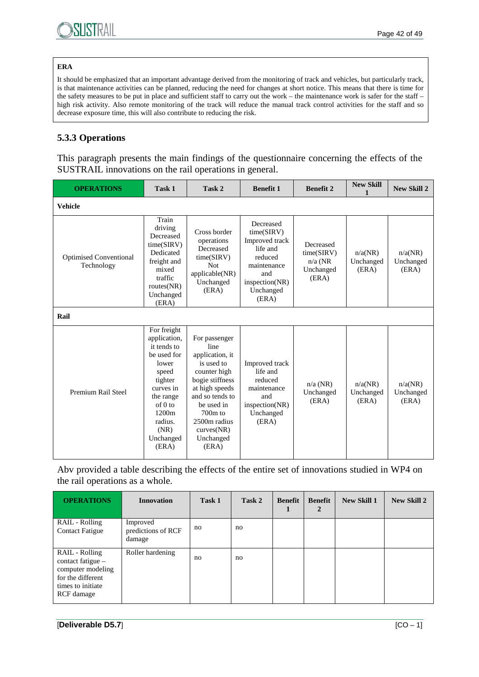#### **ERA**

It should be emphasized that an important advantage derived from the monitoring of track and vehicles, but particularly track, is that maintenance activities can be planned, reducing the need for changes at short notice. This means that there is time for the safety measures to be put in place and sufficient staff to carry out the work – the maintenance work is safer for the staff – high risk activity. Also remote monitoring of the track will reduce the manual track control activities for the staff and so decrease exposure time, this will also contribute to reducing the risk.

## **5.3.3 Operations**

This paragraph presents the main findings of the questionnaire concerning the effects of the SUSTRAIL innovations on the rail operations in general.

| <b>OPERATIONS</b>                           | Task 1                                                                                                                                                                        | Task 2                                                                                                                                                                                                        | <b>Benefit 1</b>                                                                                                            | <b>Benefit 2</b>                                           | <b>New Skill</b>              | <b>New Skill 2</b>            |
|---------------------------------------------|-------------------------------------------------------------------------------------------------------------------------------------------------------------------------------|---------------------------------------------------------------------------------------------------------------------------------------------------------------------------------------------------------------|-----------------------------------------------------------------------------------------------------------------------------|------------------------------------------------------------|-------------------------------|-------------------------------|
| <b>Vehicle</b>                              |                                                                                                                                                                               |                                                                                                                                                                                                               |                                                                                                                             |                                                            |                               |                               |
| <b>Optimised Conventional</b><br>Technology | Train<br>driving<br>Decreased<br>time(SIRV)<br>Dedicated<br>freight and<br>mixed<br>traffic<br>routes $(NR)$<br>Unchanged<br>(ERA)                                            | Cross border<br>operations<br>Decreased<br>time(SIRV)<br><b>Not</b><br>applicable(NR)<br>Unchanged<br>(ERA)                                                                                                   | Decreased<br>time(SIRV)<br>Improved track<br>life and<br>reduced<br>maintenance<br>and<br>$in_{sp.}N$<br>Unchanged<br>(ERA) | Decreased<br>time(SIRV)<br>$n/a$ (NR<br>Unchanged<br>(ERA) | n/a(NR)<br>Unchanged<br>(ERA) | n/a(NR)<br>Unchanged<br>(ERA) |
| Rail                                        |                                                                                                                                                                               |                                                                                                                                                                                                               |                                                                                                                             |                                                            |                               |                               |
| Premium Rail Steel                          | For freight<br>application,<br>it tends to<br>be used for<br>lower<br>speed<br>tighter<br>curves in<br>the range<br>of 0 to<br>1200m<br>radius.<br>(NR)<br>Unchanged<br>(ERA) | For passenger<br>line<br>application, it<br>is used to<br>counter high<br>bogie stiffness<br>at high speeds<br>and so tends to<br>be used in<br>$700m$ to<br>2500m radius<br>curves(NR)<br>Unchanged<br>(ERA) | Improved track<br>life and<br>reduced<br>maintenance<br>and<br>insection(NR)<br>Unchanged<br>(ERA)                          | $n/a$ (NR)<br>Unchanged<br>(ERA)                           | n/a(NR)<br>Unchanged<br>(ERA) | n/a(NR)<br>Unchanged<br>(ERA) |

Abv provided a table describing the effects of the entire set of innovations studied in WP4 on the rail operations as a whole.

| <b>OPERATIONS</b>                                                                                                | <b>Innovation</b>                        | Task 1 | Task 2 | <b>Benefit</b> | <b>Benefit</b><br>2 | <b>New Skill 1</b> | <b>New Skill 2</b> |
|------------------------------------------------------------------------------------------------------------------|------------------------------------------|--------|--------|----------------|---------------------|--------------------|--------------------|
| RAIL - Rolling<br><b>Contact Fatigue</b>                                                                         | Improved<br>predictions of RCF<br>damage | no     | no     |                |                     |                    |                    |
| RAIL - Rolling<br>contact fatigue –<br>computer modeling<br>for the different<br>times to initiate<br>RCF damage | Roller hardening                         | no     | no     |                |                     |                    |                    |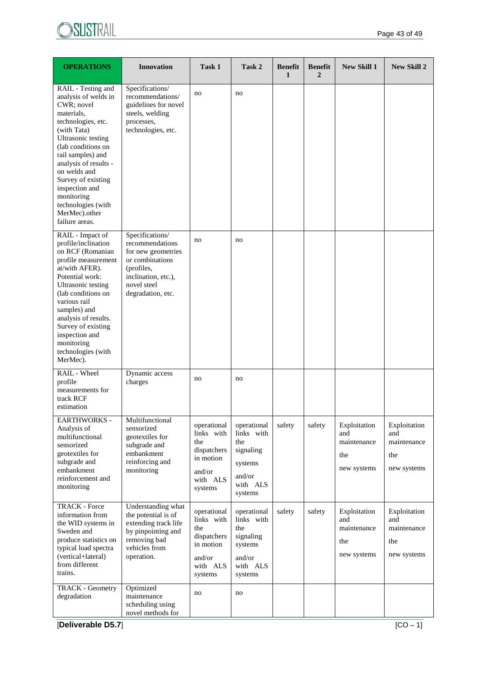

| <b>OPERATIONS</b>                                                                                                                                                                                                                                                                                                                           | <b>Innovation</b>                                                                                                                                    | Task 1                                                                                        | Task 2                                                                                    | <b>Benefit</b><br>1 | <b>Benefit</b><br>$\overline{2}$ | <b>New Skill 1</b>                                       | <b>New Skill 2</b>                                       |
|---------------------------------------------------------------------------------------------------------------------------------------------------------------------------------------------------------------------------------------------------------------------------------------------------------------------------------------------|------------------------------------------------------------------------------------------------------------------------------------------------------|-----------------------------------------------------------------------------------------------|-------------------------------------------------------------------------------------------|---------------------|----------------------------------|----------------------------------------------------------|----------------------------------------------------------|
| RAIL - Testing and<br>analysis of welds in<br>CWR; novel<br>materials,<br>technologies, etc.<br>(with Tata)<br><b>Ultrasonic testing</b><br>(lab conditions on<br>rail samples) and<br>analysis of results -<br>on welds and<br>Survey of existing<br>inspection and<br>monitoring<br>technologies (with<br>MerMec).other<br>failure areas. | Specifications/<br>recommendations/<br>guidelines for novel<br>steels, welding<br>processes,<br>technologies, etc.                                   | no                                                                                            | no                                                                                        |                     |                                  |                                                          |                                                          |
| RAIL - Impact of<br>profile/inclination<br>on RCF (Romanian<br>profile measurement<br>at/with AFER).<br>Potential work:<br>Ultrasonic testing<br>(lab conditions on<br>various rail<br>samples) and<br>analysis of results.<br>Survey of existing<br>inspection and<br>monitoring<br>technologies (with<br>MerMec).                         | Specifications/<br>recommendations<br>for new geometries<br>or combinations<br>(profiles,<br>inclination, etc.),<br>novel steel<br>degradation, etc. | no                                                                                            | no                                                                                        |                     |                                  |                                                          |                                                          |
| RAIL - Wheel<br>profile<br>measurements for<br>track RCF<br>estimation                                                                                                                                                                                                                                                                      | Dynamic access<br>charges                                                                                                                            | no                                                                                            | no                                                                                        |                     |                                  |                                                          |                                                          |
| <b>EARTHWORKS -</b><br>Analysis of<br>multifunctional<br>sensorized<br>geotextiles for<br>subgrade and<br>embankment<br>reinforcement and<br>monitoring                                                                                                                                                                                     | Multifunctional<br>sensorized<br>geotextiles for<br>subgrade and<br>embankment<br>reinforcing and<br>monitoring                                      | operational<br>links with<br>the<br>dispatchers<br>in motion<br>and/or<br>with ALS<br>systems | operational<br>links with<br>the<br>signaling<br>systems<br>and/or<br>with ALS<br>systems | safety              | safety                           | Exploitation<br>and<br>maintenance<br>the<br>new systems | Exploitation<br>and<br>maintenance<br>the<br>new systems |
| <b>TRACK - Force</b><br>information from<br>the WID systems in<br>Sweden and<br>produce statistics on<br>typical load spectra<br>(vertical+lateral)<br>from different<br>trains.                                                                                                                                                            | Understanding what<br>the potential is of<br>extending track life<br>by pinpointing and<br>removing bad<br>vehicles from<br>operation.               | operational<br>links with<br>the<br>dispatchers<br>in motion<br>and/or<br>with ALS<br>systems | operational<br>links with<br>the<br>signaling<br>systems<br>and/or<br>with ALS<br>systems | safety              | safety                           | Exploitation<br>and<br>maintenance<br>the<br>new systems | Exploitation<br>and<br>maintenance<br>the<br>new systems |
| <b>TRACK - Geometry</b><br>degradation                                                                                                                                                                                                                                                                                                      | Optimized<br>maintenance<br>scheduling using<br>novel methods for                                                                                    | no                                                                                            | no                                                                                        |                     |                                  |                                                          |                                                          |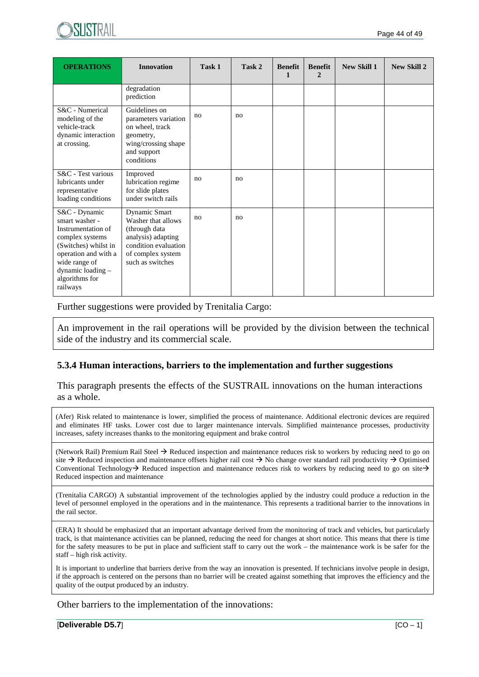

| <b>OPERATIONS</b>                                                                                                                                                                            | <b>Innovation</b>                                                                                                                           | Task 1 | Task 2 | <b>Benefit</b><br>1 | <b>Benefit</b><br>$\mathbf{2}$ | <b>New Skill 1</b> | <b>New Skill 2</b> |
|----------------------------------------------------------------------------------------------------------------------------------------------------------------------------------------------|---------------------------------------------------------------------------------------------------------------------------------------------|--------|--------|---------------------|--------------------------------|--------------------|--------------------|
|                                                                                                                                                                                              | degradation<br>prediction                                                                                                                   |        |        |                     |                                |                    |                    |
| S&C - Numerical<br>modeling of the<br>vehicle-track<br>dynamic interaction<br>at crossing.                                                                                                   | Guidelines on<br>parameters variation<br>on wheel, track<br>geometry,<br>wing/crossing shape<br>and support<br>conditions                   | no     | no     |                     |                                |                    |                    |
| S&C - Test various<br>lubricants under<br>representative<br>loading conditions                                                                                                               | Improved<br>lubrication regime<br>for slide plates<br>under switch rails                                                                    | no     | no     |                     |                                |                    |                    |
| S&C - Dynamic<br>smart washer -<br>Instrumentation of<br>complex systems<br>(Switches) whilst in<br>operation and with a<br>wide range of<br>dynamic loading -<br>algorithms for<br>railways | Dynamic Smart<br>Washer that allows<br>(through data<br>analysis) adapting<br>condition evaluation<br>of complex system<br>such as switches | no     | no     |                     |                                |                    |                    |

Further suggestions were provided by Trenitalia Cargo:

An improvement in the rail operations will be provided by the division between the technical side of the industry and its commercial scale.

#### **5.3.4 Human interactions, barriers to the implementation and further suggestions**

This paragraph presents the effects of the SUSTRAIL innovations on the human interactions as a whole.

(Afer) Risk related to maintenance is lower, simplified the process of maintenance. Additional electronic devices are required and eliminates HF tasks. Lower cost due to larger maintenance intervals. Simplified maintenance processes, productivity increases, safety increases thanks to the monitoring equipment and brake control

(Network Rail) Premium Rail Steel  $\rightarrow$  Reduced inspection and maintenance reduces risk to workers by reducing need to go on site  $\rightarrow$  Reduced inspection and maintenance offsets higher rail cost  $\rightarrow$  No change over standard rail productivity  $\rightarrow$  Optimised Conventional Technology  $\rightarrow$  Reduced inspection and maintenance reduces risk to workers by reducing need to go on site  $\rightarrow$ Reduced inspection and maintenance

(Trenitalia CARGO) A substantial improvement of the technologies applied by the industry could produce a reduction in the level of personnel employed in the operations and in the maintenance. This represents a traditional barrier to the innovations in the rail sector.

(ERA) It should be emphasized that an important advantage derived from the monitoring of track and vehicles, but particularly track, is that maintenance activities can be planned, reducing the need for changes at short notice. This means that there is time for the safety measures to be put in place and sufficient staff to carry out the work – the maintenance work is be safer for the staff – high risk activity.

It is important to underline that barriers derive from the way an innovation is presented. If technicians involve people in design, if the approach is centered on the persons than no barrier will be created against something that improves the efficiency and the quality of the output produced by an industry.

Other barriers to the implementation of the innovations: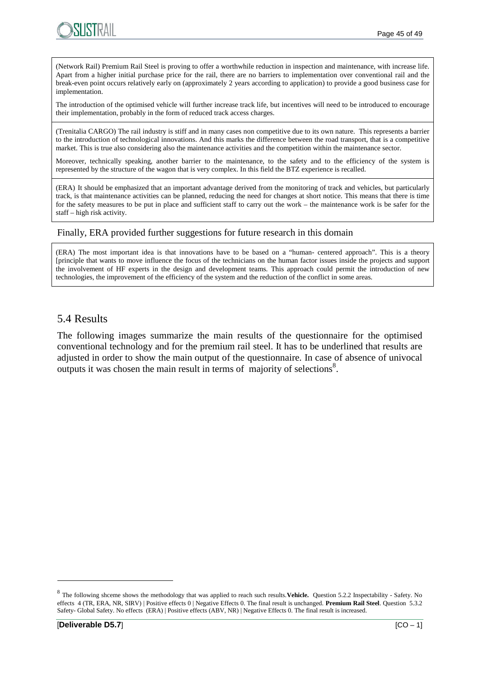

(Network Rail) Premium Rail Steel is proving to offer a worthwhile reduction in inspection and maintenance, with increase life. Apart from a higher initial purchase price for the rail, there are no barriers to implementation over conventional rail and the break-even point occurs relatively early on (approximately 2 years according to application) to provide a good business case for implementation.

The introduction of the optimised vehicle will further increase track life, but incentives will need to be introduced to encourage their implementation, probably in the form of reduced track access charges.

(Trenitalia CARGO) The rail industry is stiff and in many cases non competitive due to its own nature. This represents a barrier to the introduction of technological innovations. And this marks the difference between the road transport, that is a competitive market. This is true also considering also the maintenance activities and the competition within the maintenance sector.

Moreover, technically speaking, another barrier to the maintenance, to the safety and to the efficiency of the system is represented by the structure of the wagon that is very complex. In this field the BTZ experience is recalled.

(ERA) It should be emphasized that an important advantage derived from the monitoring of track and vehicles, but particularly track, is that maintenance activities can be planned, reducing the need for changes at short notice. This means that there is time for the safety measures to be put in place and sufficient staff to carry out the work – the maintenance work is be safer for the staff – high risk activity.

#### Finally, ERA provided further suggestions for future research in this domain

(ERA) The most important idea is that innovations have to be based on a "human- centered approach". This is a theory [principle that wants to move influence the focus of the technicians on the human factor issues inside the projects and support the involvement of HF experts in the design and development teams. This approach could permit the introduction of new technologies, the improvement of the efficiency of the system and the reduction of the conflict in some areas.

### 5.4 Results

The following images summarize the main results of the questionnaire for the optimised conventional technology and for the premium rail steel. It has to be underlined that results are adjusted in order to show the main output of the questionnaire. In case of absence of univocal outputs it was chosen the main result in terms of majority of selections<sup>8</sup>.

<sup>8</sup> The following shceme shows the methodology that was applied to reach such results.**Vehicle.** Question 5.2.2 Inspectability - Safety. No effects 4 (TR, ERA, NR, SIRV) | Positive effects 0 | Negative Effects 0. The final result is unchanged. **Premium Rail Steel**. Question 5.3.2 Safety- Global Safety. No effects (ERA) | Positive effects (ABV, NR) | Negative Effects 0. The final result is increased.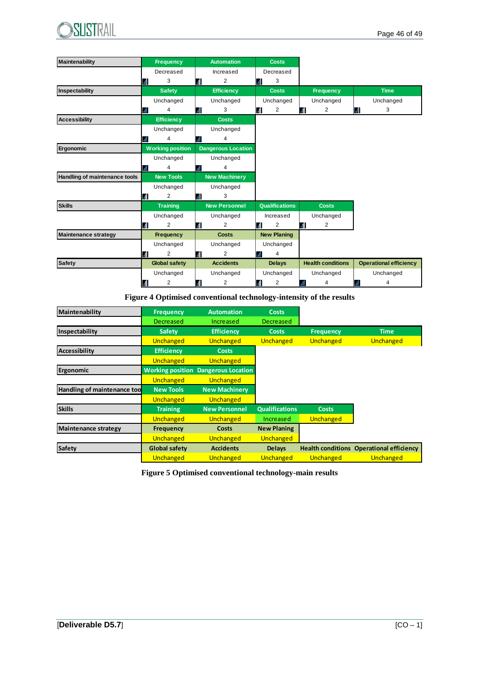

| Maintenability                | <b>Frequency</b>        |    | <b>Automation</b>         |      | <b>Costs</b>          |   |                          |                               |  |
|-------------------------------|-------------------------|----|---------------------------|------|-----------------------|---|--------------------------|-------------------------------|--|
|                               | Decreased               |    | Increased                 |      | Decreased             |   |                          |                               |  |
|                               | 3                       | .d | $\overline{2}$            | мI   | 3                     |   |                          |                               |  |
| Inspectability                | <b>Safety</b>           |    | <b>Efficiency</b>         |      | <b>Costs</b>          |   | <b>Frequency</b>         | <b>Time</b>                   |  |
|                               | Unchanged               |    | Unchanged                 |      | Unchanged             |   | Unchanged                | Unchanged                     |  |
|                               | 4                       |    | 3                         | . II | 2                     | Ы | 2                        | 3<br>ыl                       |  |
| <b>Accessibility</b>          | <b>Efficiency</b>       |    | <b>Costs</b>              |      |                       |   |                          |                               |  |
|                               | Unchanged               |    | Unchanged                 |      |                       |   |                          |                               |  |
|                               | 4                       |    | 4                         |      |                       |   |                          |                               |  |
| Ergonomic                     | <b>Working position</b> |    | <b>Dangerous Location</b> |      |                       |   |                          |                               |  |
|                               | Unchanged               |    | Unchanged                 |      |                       |   |                          |                               |  |
|                               | Δ                       |    | 4                         |      |                       |   |                          |                               |  |
| Handling of maintenance tools | <b>New Tools</b>        |    | <b>New Machinery</b>      |      |                       |   |                          |                               |  |
|                               | Unchanged               |    | Unchanged                 |      |                       |   |                          |                               |  |
|                               | $\overline{2}$          |    | 3                         |      |                       |   |                          |                               |  |
| <b>Skills</b>                 | <b>Training</b>         |    | <b>New Personnel</b>      |      | <b>Qualifications</b> |   | <b>Costs</b>             |                               |  |
|                               | Unchanged               |    | Unchanged                 |      | Increased             |   | Unchanged                |                               |  |
|                               | $\overline{2}$          |    | $\overline{2}$            | л    | 2                     | л | $\overline{2}$           |                               |  |
| <b>Maintenance strategy</b>   | Frequency               |    | <b>Costs</b>              |      | <b>New Planing</b>    |   |                          |                               |  |
|                               | Unchanged               |    | Unchanged                 |      | Unchanged             |   |                          |                               |  |
|                               | $\overline{2}$          | .d | $\overline{2}$            |      | 4                     |   |                          |                               |  |
| <b>Safety</b>                 | <b>Global safety</b>    |    | <b>Accidents</b>          |      | <b>Delays</b>         |   | <b>Health conditions</b> | <b>Operational efficiency</b> |  |
|                               | Unchanged               |    | Unchanged                 |      | Unchanged             |   | Unchanged                | Unchanged                     |  |
|                               | 2                       |    | 2                         | М    | 2                     |   | 4                        | 4                             |  |

#### **Figure 4 Optimised conventional technology-intensity of the results**

| Maintenability              | <b>Frequency</b>        | <b>Automation</b>         | <b>Costs</b>          |                  |                                                 |
|-----------------------------|-------------------------|---------------------------|-----------------------|------------------|-------------------------------------------------|
|                             | Decreased               | Increased                 | Decreased             |                  |                                                 |
| Inspectability              | <b>Safety</b>           | <b>Efficiency</b>         | <b>Costs</b>          | <b>Frequency</b> | <b>Time</b>                                     |
|                             | Unchanged               | Unchanged                 | Unchanged             | Unchanged        | Unchanged                                       |
| <b>Accessibility</b>        | <b>Efficiency</b>       | <b>Costs</b>              |                       |                  |                                                 |
|                             | Unchanged               | Unchanged                 |                       |                  |                                                 |
| Ergonomic                   | <b>Working position</b> | <b>Dangerous Location</b> |                       |                  |                                                 |
|                             | Unchanged               | Unchanged                 |                       |                  |                                                 |
| Handling of maintenance too | <b>New Tools</b>        | <b>New Machinery</b>      |                       |                  |                                                 |
|                             | Unchanged               | Unchanged                 |                       |                  |                                                 |
| <b>Skills</b>               | <b>Training</b>         | <b>New Personnel</b>      | <b>Qualifications</b> | <b>Costs</b>     |                                                 |
|                             | Unchanged               | Unchanged                 | Increased             | Unchanged        |                                                 |
| <b>Maintenance strategy</b> | <b>Frequency</b>        | Costs                     | <b>New Planing</b>    |                  |                                                 |
|                             | Unchanged               | Unchanged                 | Unchanged             |                  |                                                 |
| <b>Safety</b>               | <b>Global safety</b>    | <b>Accidents</b>          | <b>Delays</b>         |                  | <b>Health conditions Operational efficiency</b> |
|                             | Unchanged               | Unchanged                 | Unchanged             | Unchanged        | Unchanged                                       |

**Figure 5 Optimised conventional technology-main results**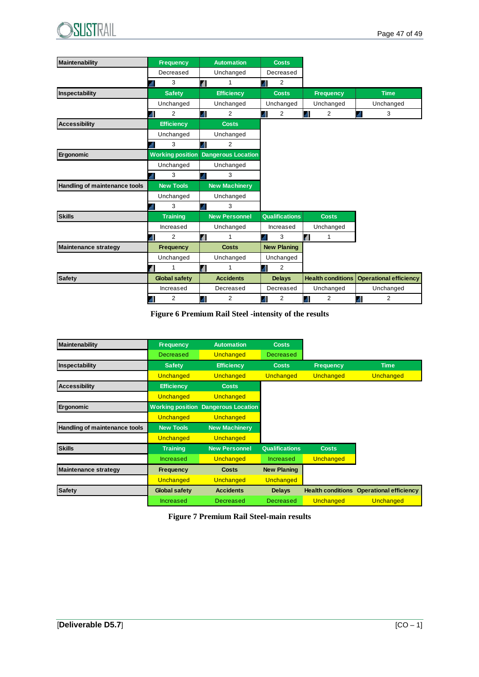

| <b>Maintenability</b>                | <b>Frequency</b>     | <b>Automation</b>                          | <b>Costs</b>          |                          |                               |
|--------------------------------------|----------------------|--------------------------------------------|-----------------------|--------------------------|-------------------------------|
|                                      | Decreased            | Unchanged                                  | Decreased             |                          |                               |
|                                      | 3<br>мI              | d<br>1                                     | 2<br>М                |                          |                               |
| Inspectability                       | <b>Safety</b>        | <b>Efficiency</b>                          | <b>Costs</b>          | <b>Frequency</b>         | <b>Time</b>                   |
|                                      | Unchanged            | Unchanged                                  | Unchanged             | Unchanged                | Unchanged                     |
|                                      | 2<br>Ш               | 2<br>Ш                                     | 2<br>al)              | $\overline{2}$<br>М      | 3<br>all.                     |
| <b>Accessibility</b>                 | <b>Efficiency</b>    | <b>Costs</b>                               |                       |                          |                               |
|                                      | Unchanged            | Unchanged                                  |                       |                          |                               |
|                                      | 3<br>ыl              | Ш<br>2                                     |                       |                          |                               |
| Ergonomic                            |                      | <b>Working position Dangerous Location</b> |                       |                          |                               |
|                                      | Unchanged            | Unchanged                                  |                       |                          |                               |
|                                      | 3                    | 3<br>l. II                                 |                       |                          |                               |
| <b>Handling of maintenance tools</b> | <b>New Tools</b>     | <b>New Machinery</b>                       |                       |                          |                               |
|                                      | Unchanged            | Unchanged                                  |                       |                          |                               |
|                                      | 3                    | 3<br>۱ıl،                                  |                       |                          |                               |
| <b>Skills</b>                        | <b>Training</b>      | <b>New Personnel</b>                       | <b>Qualifications</b> | <b>Costs</b>             |                               |
|                                      | Increased            | Unchanged                                  | Increased             | Unchanged                |                               |
|                                      | $\overline{2}$<br>иI | <b>all</b><br>1                            | 3<br>ыI               | 1<br>4Î                  |                               |
| <b>Maintenance strategy</b>          | <b>Frequency</b>     | <b>Costs</b>                               | <b>New Planing</b>    |                          |                               |
|                                      | Unchanged            | Unchanged                                  | Unchanged             |                          |                               |
|                                      |                      | <b>all</b><br>1                            | 2<br>.n               |                          |                               |
| <b>Safety</b>                        | <b>Global safety</b> | <b>Accidents</b>                           | <b>Delays</b>         | <b>Health conditions</b> | <b>Operational efficiency</b> |
|                                      | Increased            | Decreased                                  | Decreased             | Unchanged                | Unchanged                     |
|                                      | $\overline{2}$       | Ш<br>2                                     | al)<br>2              | 2<br>М                   | al.<br>$\overline{2}$         |

**Figure 6 Premium Rail Steel -intensity of the results**

| Maintenability                | <b>Frequency</b>     | <b>Automation</b>                          | <b>Costs</b>          |                          |                               |
|-------------------------------|----------------------|--------------------------------------------|-----------------------|--------------------------|-------------------------------|
|                               | Decreased            | Unchanged                                  | <b>Decreased</b>      |                          |                               |
| Inspectability                | <b>Safety</b>        | <b>Efficiency</b>                          | <b>Costs</b>          | <b>Frequency</b>         | <b>Time</b>                   |
|                               | Unchanged            | Unchanged                                  | Unchanged             | Unchanged                | Unchanged                     |
| <b>Accessibility</b>          | <b>Efficiency</b>    | <b>Costs</b>                               |                       |                          |                               |
|                               | Unchanged            | <b>Unchanged</b>                           |                       |                          |                               |
| Ergonomic                     |                      | <b>Working position Dangerous Location</b> |                       |                          |                               |
|                               | Unchanged            | Unchanged                                  |                       |                          |                               |
| Handling of maintenance tools | <b>New Tools</b>     | <b>New Machinery</b>                       |                       |                          |                               |
|                               | Unchanged            | Unchanged                                  |                       |                          |                               |
| <b>Skills</b>                 | <b>Training</b>      | <b>New Personnel</b>                       | <b>Qualifications</b> | <b>Costs</b>             |                               |
|                               | <b>Increased</b>     | Unchanged                                  | Increased             | Unchanged                |                               |
| <b>Maintenance strategy</b>   | <b>Frequency</b>     | <b>Costs</b>                               | <b>New Planing</b>    |                          |                               |
|                               | Unchanged            | Unchanged                                  | Unchanged             |                          |                               |
| <b>Safety</b>                 | <b>Global safety</b> | <b>Accidents</b>                           | <b>Delays</b>         | <b>Health conditions</b> | <b>Operational efficiency</b> |
|                               |                      |                                            |                       |                          |                               |

**Figure 7 Premium Rail Steel-main results**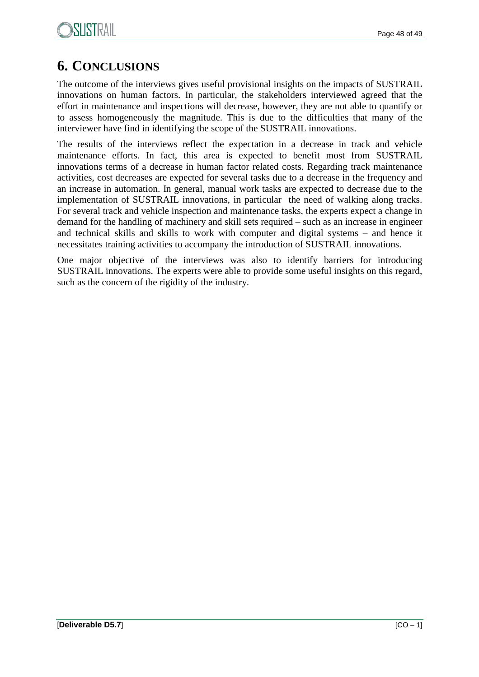# **6. CONCLUSIONS**

The outcome of the interviews gives useful provisional insights on the impacts of SUSTRAIL innovations on human factors. In particular, the stakeholders interviewed agreed that the effort in maintenance and inspections will decrease, however, they are not able to quantify or to assess homogeneously the magnitude. This is due to the difficulties that many of the interviewer have find in identifying the scope of the SUSTRAIL innovations.

The results of the interviews reflect the expectation in a decrease in track and vehicle maintenance efforts. In fact, this area is expected to benefit most from SUSTRAIL innovations terms of a decrease in human factor related costs. Regarding track maintenance activities, cost decreases are expected for several tasks due to a decrease in the frequency and an increase in automation. In general, manual work tasks are expected to decrease due to the implementation of SUSTRAIL innovations, in particular the need of walking along tracks. For several track and vehicle inspection and maintenance tasks, the experts expect a change in demand for the handling of machinery and skill sets required – such as an increase in engineer and technical skills and skills to work with computer and digital systems – and hence it necessitates training activities to accompany the introduction of SUSTRAIL innovations.

One major objective of the interviews was also to identify barriers for introducing SUSTRAIL innovations. The experts were able to provide some useful insights on this regard, such as the concern of the rigidity of the industry.